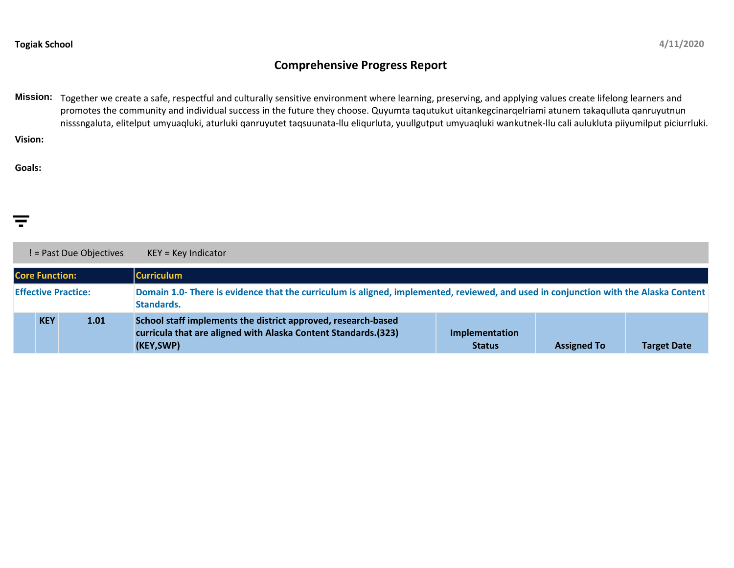## **Comprehensive Progress Report**

**Mission:** Together we create a safe, respectful and culturally sensitive environment where learning, preserving, and applying values create lifelong learners and promotes the community and individual success in the future they choose. Quyumta taqutukut uitankegcinarqelriami atunem takaqulluta qanruyutnun nisssngaluta, elitelput umyuaqluki, aturluki qanruyutet taqsuunata-llu eliqurluta, yuullgutput umyuaqluki wankutnek-llu cali aulukluta piiyumilput piciurrluki.

**Vision:**

**Goals:**

|                            |            | ! = Past Due Objectives | $KEY = Key Indicator$                                                                                                                                     |                                 |                    |                    |
|----------------------------|------------|-------------------------|-----------------------------------------------------------------------------------------------------------------------------------------------------------|---------------------------------|--------------------|--------------------|
| <b>Core Function:</b>      |            |                         | <b>Curriculum</b>                                                                                                                                         |                                 |                    |                    |
| <b>Effective Practice:</b> |            |                         | Domain 1.0- There is evidence that the curriculum is aligned, implemented, reviewed, and used in conjunction with the Alaska Content<br><b>Standards.</b> |                                 |                    |                    |
|                            | <b>KEY</b> | 1.01                    | School staff implements the district approved, research-based<br>curricula that are aligned with Alaska Content Standards.(323)<br>(KEY,SWP)              | Implementation<br><b>Status</b> | <b>Assigned To</b> | <b>Target Date</b> |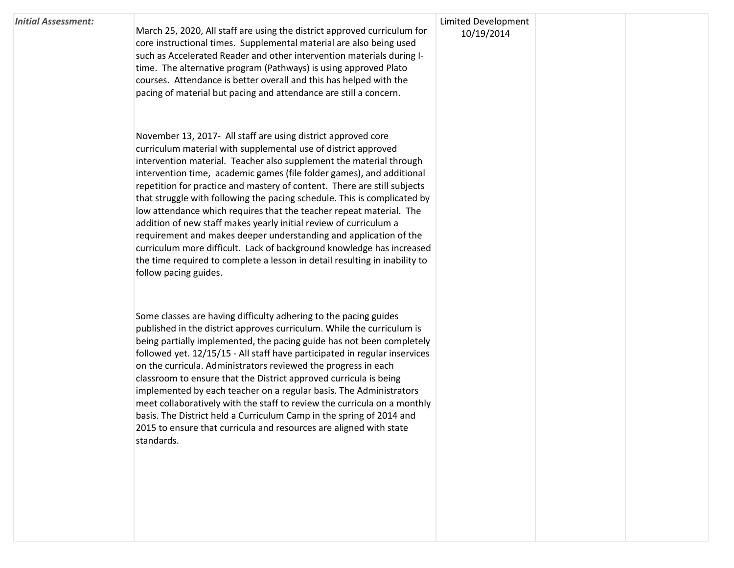## *Initial Assessment:*

March 25, 2020, All staff are using the district approved curriculum for core instructional times. Supplemental material are also being used such as Accelerated Reader and other intervention materials during Itime. The alternative program (Pathways) is using approved Plato courses. Attendance is better overall and this has helped with the pacing of material but pacing and attendance are still a concern.

November 13, 2017- All staff are using district approved core curriculum material with supplemental use of district approved intervention material. Teacher also supplement the material through intervention time, academic games (file folder games), and additional repetition for practice and mastery of content. There are still subjects that struggle with following the pacing schedule. This is complicated by low attendance which requires that the teacher repeat material. The addition of new staff makes yearly initial review of curriculum a requirement and makes deeper understanding and application of the curriculum more difficult. Lack of background knowledge has increased the time required to complete a lesson in detail resulting in inability to follow pacing guides.

Some classes are having difficulty adhering to the pacing guides published in the district approves curriculum. While the curriculum is being partially implemented, the pacing guide has not been completely followed yet. 12/15/15 - All staff have participated in regular inservices on the curricula. Administrators reviewed the progress in each classroom to ensure that the District approved curricula is being implemented by each teacher on a regular basis. The Administrators meet collaboratively with the staff to review the curricula on a monthly basis. The District held a Curriculum Camp in the spring of 2014 and 2015 to ensure that curricula and resources are aligned with state standards.

## Limited Development 10/19/2014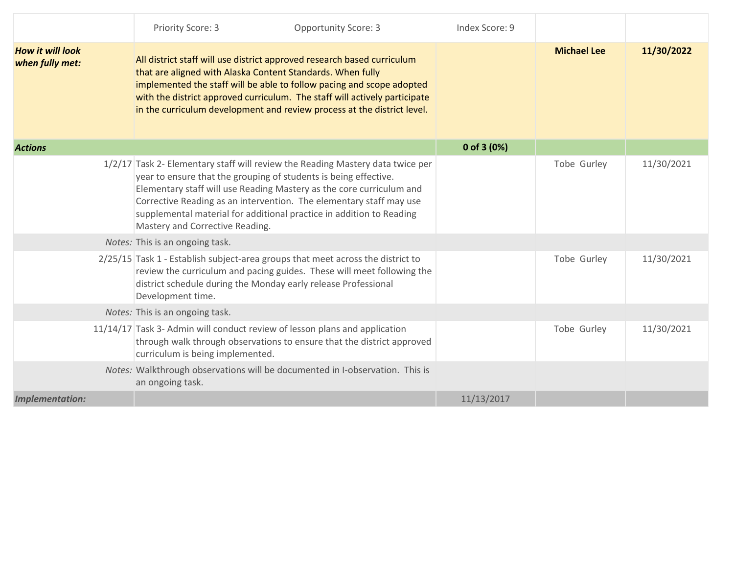|                                            | Priority Score: 3                                                                                                                                                                                                                                                                                                                                                                                            | <b>Opportunity Score: 3</b> | Index Score: 9 |                    |            |
|--------------------------------------------|--------------------------------------------------------------------------------------------------------------------------------------------------------------------------------------------------------------------------------------------------------------------------------------------------------------------------------------------------------------------------------------------------------------|-----------------------------|----------------|--------------------|------------|
| <b>How it will look</b><br>when fully met: | All district staff will use district approved research based curriculum<br>that are aligned with Alaska Content Standards. When fully<br>implemented the staff will be able to follow pacing and scope adopted<br>with the district approved curriculum. The staff will actively participate<br>in the curriculum development and review process at the district level.                                      |                             |                | <b>Michael Lee</b> | 11/30/2022 |
| <b>Actions</b>                             |                                                                                                                                                                                                                                                                                                                                                                                                              |                             | 0 of 3 $(0%)$  |                    |            |
|                                            | 1/2/17 Task 2- Elementary staff will review the Reading Mastery data twice per<br>year to ensure that the grouping of students is being effective.<br>Elementary staff will use Reading Mastery as the core curriculum and<br>Corrective Reading as an intervention. The elementary staff may use<br>supplemental material for additional practice in addition to Reading<br>Mastery and Corrective Reading. |                             |                | Tobe Gurley        | 11/30/2021 |
|                                            | Notes: This is an ongoing task.                                                                                                                                                                                                                                                                                                                                                                              |                             |                |                    |            |
|                                            | 2/25/15 Task 1 - Establish subject-area groups that meet across the district to<br>review the curriculum and pacing guides. These will meet following the<br>district schedule during the Monday early release Professional<br>Development time.                                                                                                                                                             |                             |                | Tobe Gurley        | 11/30/2021 |
|                                            | Notes: This is an ongoing task.                                                                                                                                                                                                                                                                                                                                                                              |                             |                |                    |            |
|                                            | 11/14/17 Task 3- Admin will conduct review of lesson plans and application<br>through walk through observations to ensure that the district approved<br>curriculum is being implemented.                                                                                                                                                                                                                     |                             |                | Tobe Gurley        | 11/30/2021 |
|                                            | Notes: Walkthrough observations will be documented in I-observation. This is<br>an ongoing task.                                                                                                                                                                                                                                                                                                             |                             |                |                    |            |
| <b>Implementation:</b>                     |                                                                                                                                                                                                                                                                                                                                                                                                              |                             | 11/13/2017     |                    |            |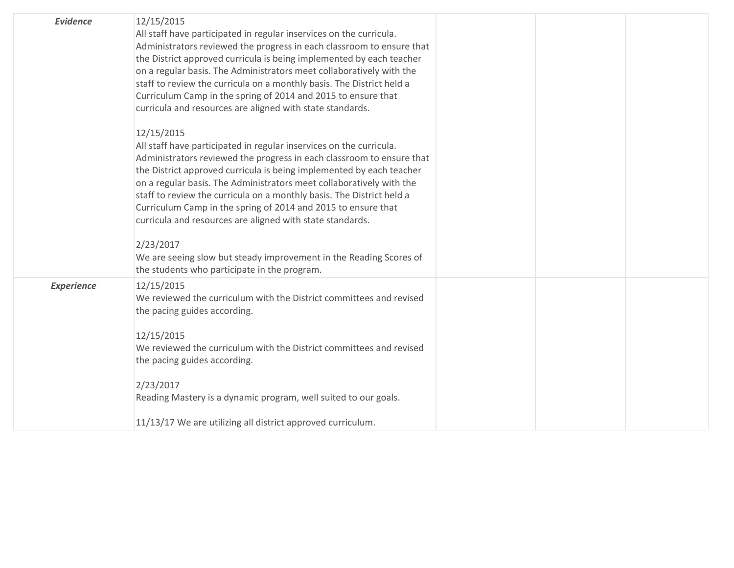| <b>Evidence</b>   | 12/15/2015<br>All staff have participated in regular inservices on the curricula.<br>Administrators reviewed the progress in each classroom to ensure that<br>the District approved curricula is being implemented by each teacher<br>on a regular basis. The Administrators meet collaboratively with the<br>staff to review the curricula on a monthly basis. The District held a<br>Curriculum Camp in the spring of 2014 and 2015 to ensure that<br>curricula and resources are aligned with state standards. |  |  |
|-------------------|-------------------------------------------------------------------------------------------------------------------------------------------------------------------------------------------------------------------------------------------------------------------------------------------------------------------------------------------------------------------------------------------------------------------------------------------------------------------------------------------------------------------|--|--|
|                   | 12/15/2015<br>All staff have participated in regular inservices on the curricula.<br>Administrators reviewed the progress in each classroom to ensure that<br>the District approved curricula is being implemented by each teacher<br>on a regular basis. The Administrators meet collaboratively with the<br>staff to review the curricula on a monthly basis. The District held a<br>Curriculum Camp in the spring of 2014 and 2015 to ensure that<br>curricula and resources are aligned with state standards. |  |  |
|                   | 2/23/2017<br>We are seeing slow but steady improvement in the Reading Scores of<br>the students who participate in the program.                                                                                                                                                                                                                                                                                                                                                                                   |  |  |
| <b>Experience</b> | 12/15/2015<br>We reviewed the curriculum with the District committees and revised<br>the pacing guides according.<br>12/15/2015<br>We reviewed the curriculum with the District committees and revised<br>the pacing guides according.                                                                                                                                                                                                                                                                            |  |  |
|                   | 2/23/2017<br>Reading Mastery is a dynamic program, well suited to our goals.                                                                                                                                                                                                                                                                                                                                                                                                                                      |  |  |
|                   | 11/13/17 We are utilizing all district approved curriculum.                                                                                                                                                                                                                                                                                                                                                                                                                                                       |  |  |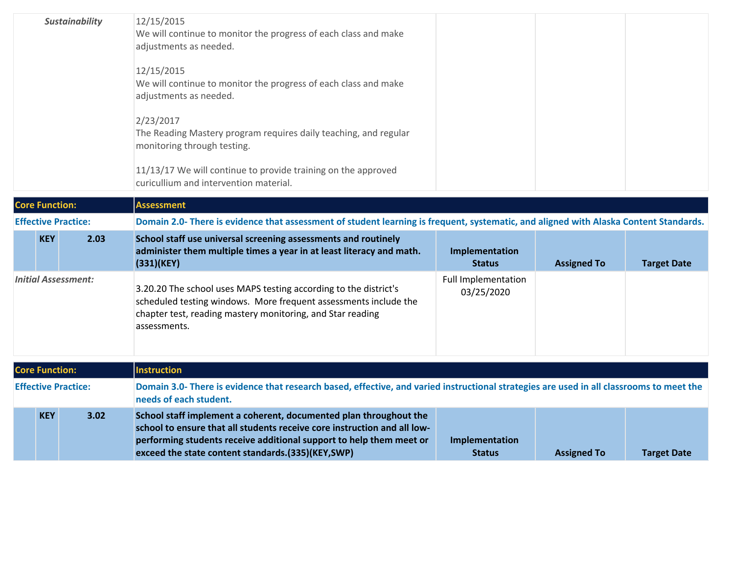| <b>Sustainability</b>      |      | 12/15/2015<br>We will continue to monitor the progress of each class and make<br>adjustments as needed.                                                                                                              |                                          |                    |                    |  |  |  |
|----------------------------|------|----------------------------------------------------------------------------------------------------------------------------------------------------------------------------------------------------------------------|------------------------------------------|--------------------|--------------------|--|--|--|
|                            |      | 12/15/2015<br>We will continue to monitor the progress of each class and make<br>adjustments as needed.                                                                                                              |                                          |                    |                    |  |  |  |
|                            |      | 2/23/2017<br>The Reading Mastery program requires daily teaching, and regular<br>monitoring through testing.                                                                                                         |                                          |                    |                    |  |  |  |
|                            |      | 11/13/17 We will continue to provide training on the approved<br>curicullium and intervention material.                                                                                                              |                                          |                    |                    |  |  |  |
| <b>Core Function:</b>      |      | <b>Assessment</b>                                                                                                                                                                                                    |                                          |                    |                    |  |  |  |
| <b>Effective Practice:</b> |      | Domain 2.0- There is evidence that assessment of student learning is frequent, systematic, and aligned with Alaska Content Standards.                                                                                |                                          |                    |                    |  |  |  |
| <b>KEY</b>                 | 2.03 | School staff use universal screening assessments and routinely<br>administer them multiple times a year in at least literacy and math.<br>(331)(KEY)                                                                 | Implementation<br><b>Status</b>          | <b>Assigned To</b> | <b>Target Date</b> |  |  |  |
| <b>Initial Assessment:</b> |      | 3.20.20 The school uses MAPS testing according to the district's<br>scheduled testing windows. More frequent assessments include the<br>chapter test, reading mastery monitoring, and Star reading<br>assessments.   | <b>Full Implementation</b><br>03/25/2020 |                    |                    |  |  |  |
| <b>Core Function:</b>      |      | <b>Instruction</b>                                                                                                                                                                                                   |                                          |                    |                    |  |  |  |
| <b>Effective Practice:</b> |      | Domain 3.0- There is evidence that research based, effective, and varied instructional strategies are used in all classrooms to meet the<br>needs of each student.                                                   |                                          |                    |                    |  |  |  |
| <b>KEY</b>                 | 3.02 | School staff implement a coherent, documented plan throughout the<br>school to ensure that all students receive core instruction and all low-<br>performing students receive additional support to help them meet or | Implementation                           |                    |                    |  |  |  |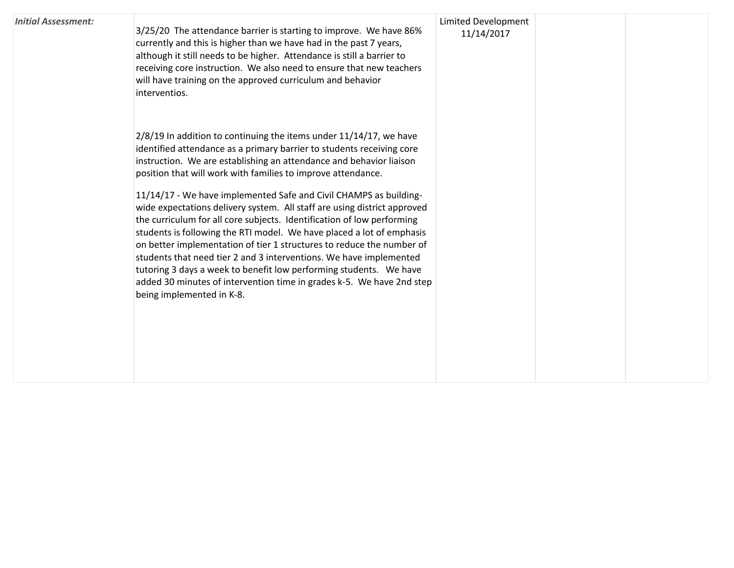| <b>Initial Assessment:</b> | 3/25/20 The attendance barrier is starting to improve. We have 86%<br>currently and this is higher than we have had in the past 7 years,<br>although it still needs to be higher. Attendance is still a barrier to<br>receiving core instruction. We also need to ensure that new teachers<br>will have training on the approved curriculum and behavior<br>interventios.                                                                                                                                                                                                                                                                                                                                                                                                                                                                                                                                           | <b>Limited Development</b><br>11/14/2017 |  |
|----------------------------|---------------------------------------------------------------------------------------------------------------------------------------------------------------------------------------------------------------------------------------------------------------------------------------------------------------------------------------------------------------------------------------------------------------------------------------------------------------------------------------------------------------------------------------------------------------------------------------------------------------------------------------------------------------------------------------------------------------------------------------------------------------------------------------------------------------------------------------------------------------------------------------------------------------------|------------------------------------------|--|
|                            | $2/8/19$ In addition to continuing the items under 11/14/17, we have<br>identified attendance as a primary barrier to students receiving core<br>instruction. We are establishing an attendance and behavior liaison<br>position that will work with families to improve attendance.<br>11/14/17 - We have implemented Safe and Civil CHAMPS as building-<br>wide expectations delivery system. All staff are using district approved<br>the curriculum for all core subjects. Identification of low performing<br>students is following the RTI model. We have placed a lot of emphasis<br>on better implementation of tier 1 structures to reduce the number of<br>students that need tier 2 and 3 interventions. We have implemented<br>tutoring 3 days a week to benefit low performing students. We have<br>added 30 minutes of intervention time in grades k-5. We have 2nd step<br>being implemented in K-8. |                                          |  |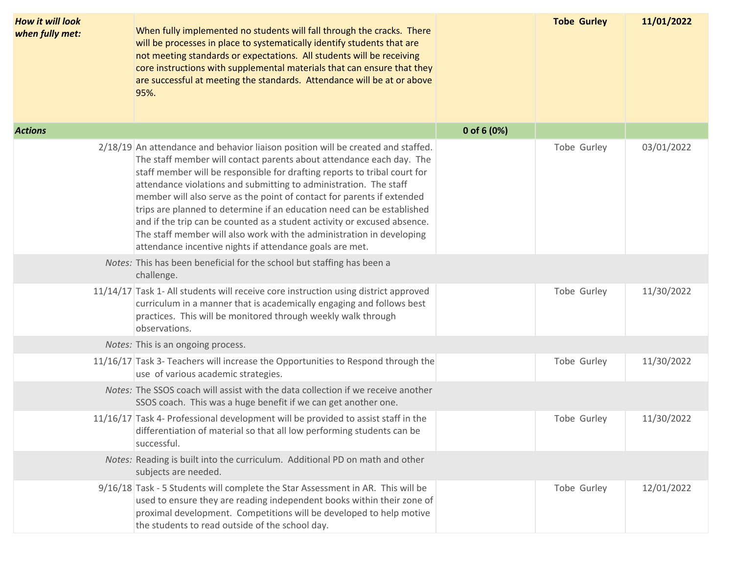| <b>How it will look</b><br>when fully met: | When fully implemented no students will fall through the cracks. There<br>will be processes in place to systematically identify students that are<br>not meeting standards or expectations. All students will be receiving<br>core instructions with supplemental materials that can ensure that they<br>are successful at meeting the standards. Attendance will be at or above<br>95%.                                                                                                                                                                                                                                                                                        |               | <b>Tobe Gurley</b> | 11/01/2022 |
|--------------------------------------------|---------------------------------------------------------------------------------------------------------------------------------------------------------------------------------------------------------------------------------------------------------------------------------------------------------------------------------------------------------------------------------------------------------------------------------------------------------------------------------------------------------------------------------------------------------------------------------------------------------------------------------------------------------------------------------|---------------|--------------------|------------|
| <b>Actions</b>                             |                                                                                                                                                                                                                                                                                                                                                                                                                                                                                                                                                                                                                                                                                 | 0 of 6 $(0%)$ |                    |            |
|                                            | 2/18/19 An attendance and behavior liaison position will be created and staffed.<br>The staff member will contact parents about attendance each day. The<br>staff member will be responsible for drafting reports to tribal court for<br>attendance violations and submitting to administration. The staff<br>member will also serve as the point of contact for parents if extended<br>trips are planned to determine if an education need can be established<br>and if the trip can be counted as a student activity or excused absence.<br>The staff member will also work with the administration in developing<br>attendance incentive nights if attendance goals are met. |               | Tobe Gurley        | 03/01/2022 |
|                                            | Notes: This has been beneficial for the school but staffing has been a<br>challenge.                                                                                                                                                                                                                                                                                                                                                                                                                                                                                                                                                                                            |               |                    |            |
|                                            | 11/14/17 Task 1- All students will receive core instruction using district approved<br>curriculum in a manner that is academically engaging and follows best<br>practices. This will be monitored through weekly walk through<br>observations.                                                                                                                                                                                                                                                                                                                                                                                                                                  |               | Tobe Gurley        | 11/30/2022 |
|                                            | Notes: This is an ongoing process.                                                                                                                                                                                                                                                                                                                                                                                                                                                                                                                                                                                                                                              |               |                    |            |
|                                            | 11/16/17 Task 3- Teachers will increase the Opportunities to Respond through the<br>use of various academic strategies.                                                                                                                                                                                                                                                                                                                                                                                                                                                                                                                                                         |               | Tobe Gurley        | 11/30/2022 |
|                                            | Notes: The SSOS coach will assist with the data collection if we receive another<br>SSOS coach. This was a huge benefit if we can get another one.                                                                                                                                                                                                                                                                                                                                                                                                                                                                                                                              |               |                    |            |
|                                            | 11/16/17 Task 4- Professional development will be provided to assist staff in the<br>differentiation of material so that all low performing students can be<br>successful.                                                                                                                                                                                                                                                                                                                                                                                                                                                                                                      |               | Tobe Gurley        | 11/30/2022 |
|                                            | Notes: Reading is built into the curriculum. Additional PD on math and other<br>subjects are needed.                                                                                                                                                                                                                                                                                                                                                                                                                                                                                                                                                                            |               |                    |            |
|                                            | 9/16/18 Task - 5 Students will complete the Star Assessment in AR. This will be<br>used to ensure they are reading independent books within their zone of<br>proximal development. Competitions will be developed to help motive<br>the students to read outside of the school day.                                                                                                                                                                                                                                                                                                                                                                                             |               | Tobe Gurley        | 12/01/2022 |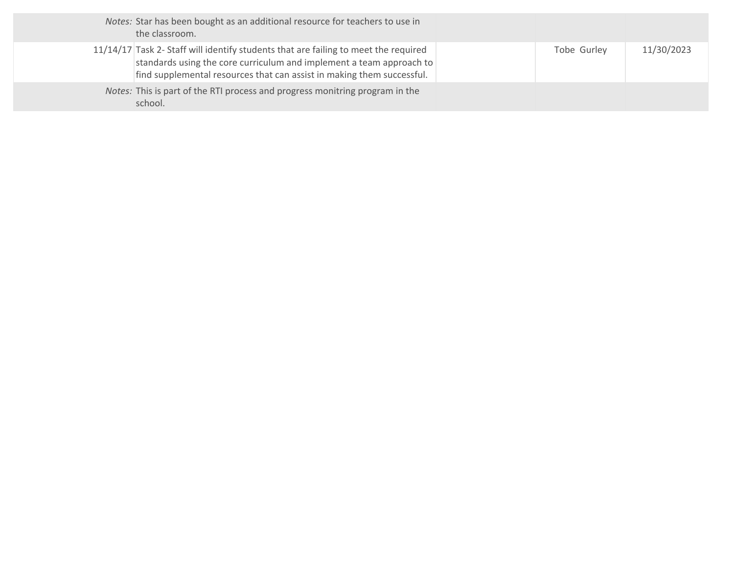| Notes: Star has been bought as an additional resource for teachers to use in<br>the classroom.                                                                                                                                        |             |            |
|---------------------------------------------------------------------------------------------------------------------------------------------------------------------------------------------------------------------------------------|-------------|------------|
| 11/14/17 Task 2- Staff will identify students that are failing to meet the required<br>standards using the core curriculum and implement a team approach to<br>find supplemental resources that can assist in making them successful. | Tobe Gurley | 11/30/2023 |
| Notes: This is part of the RTI process and progress monitring program in the<br>school.                                                                                                                                               |             |            |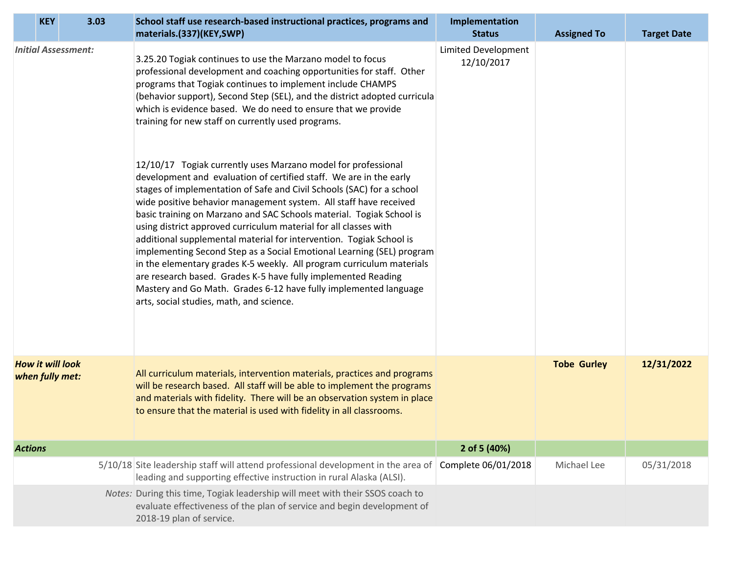|                | <b>KEY</b>                                 | 3.03                       | School staff use research-based instructional practices, programs and<br>materials.(337)(KEY,SWP)                                                                                                                                                                                                                                                                                                                                                                                                                                                                                                                                                                                                                                                                                                                                                                                                                                                                                                                                                                                                                                                                                                                                               | Implementation<br><b>Status</b>          | <b>Assigned To</b> | <b>Target Date</b> |
|----------------|--------------------------------------------|----------------------------|-------------------------------------------------------------------------------------------------------------------------------------------------------------------------------------------------------------------------------------------------------------------------------------------------------------------------------------------------------------------------------------------------------------------------------------------------------------------------------------------------------------------------------------------------------------------------------------------------------------------------------------------------------------------------------------------------------------------------------------------------------------------------------------------------------------------------------------------------------------------------------------------------------------------------------------------------------------------------------------------------------------------------------------------------------------------------------------------------------------------------------------------------------------------------------------------------------------------------------------------------|------------------------------------------|--------------------|--------------------|
|                |                                            | <b>Initial Assessment:</b> | 3.25.20 Togiak continues to use the Marzano model to focus<br>professional development and coaching opportunities for staff. Other<br>programs that Togiak continues to implement include CHAMPS<br>(behavior support), Second Step (SEL), and the district adopted curricula<br>which is evidence based. We do need to ensure that we provide<br>training for new staff on currently used programs.<br>12/10/17 Togiak currently uses Marzano model for professional<br>development and evaluation of certified staff. We are in the early<br>stages of implementation of Safe and Civil Schools (SAC) for a school<br>wide positive behavior management system. All staff have received<br>basic training on Marzano and SAC Schools material. Togiak School is<br>using district approved curriculum material for all classes with<br>additional supplemental material for intervention. Togiak School is<br>implementing Second Step as a Social Emotional Learning (SEL) program<br>in the elementary grades K-5 weekly. All program curriculum materials<br>are research based. Grades K-5 have fully implemented Reading<br>Mastery and Go Math. Grades 6-12 have fully implemented language<br>arts, social studies, math, and science. | <b>Limited Development</b><br>12/10/2017 |                    |                    |
|                | <b>How it will look</b><br>when fully met: |                            | All curriculum materials, intervention materials, practices and programs<br>will be research based. All staff will be able to implement the programs<br>and materials with fidelity. There will be an observation system in place<br>to ensure that the material is used with fidelity in all classrooms.                                                                                                                                                                                                                                                                                                                                                                                                                                                                                                                                                                                                                                                                                                                                                                                                                                                                                                                                       |                                          | <b>Tobe Gurley</b> | 12/31/2022         |
| <b>Actions</b> |                                            |                            |                                                                                                                                                                                                                                                                                                                                                                                                                                                                                                                                                                                                                                                                                                                                                                                                                                                                                                                                                                                                                                                                                                                                                                                                                                                 | 2 of 5 (40%)                             |                    |                    |
|                |                                            |                            | 5/10/18 Site leadership staff will attend professional development in the area of Complete 06/01/2018<br>leading and supporting effective instruction in rural Alaska (ALSI).                                                                                                                                                                                                                                                                                                                                                                                                                                                                                                                                                                                                                                                                                                                                                                                                                                                                                                                                                                                                                                                                   |                                          | Michael Lee        | 05/31/2018         |
|                |                                            |                            | Notes: During this time, Togiak leadership will meet with their SSOS coach to<br>evaluate effectiveness of the plan of service and begin development of<br>2018-19 plan of service.                                                                                                                                                                                                                                                                                                                                                                                                                                                                                                                                                                                                                                                                                                                                                                                                                                                                                                                                                                                                                                                             |                                          |                    |                    |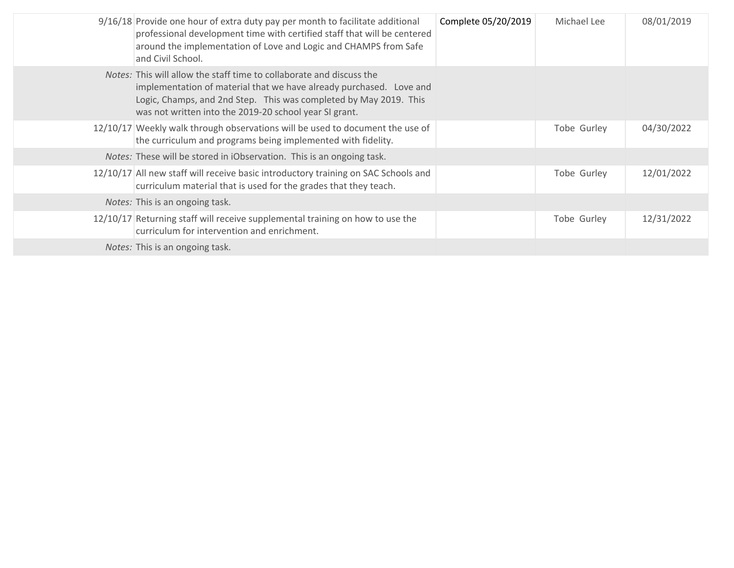| 9/16/18 Provide one hour of extra duty pay per month to facilitate additional<br>professional development time with certified staff that will be centered<br>around the implementation of Love and Logic and CHAMPS from Safe<br>and Civil School.                                | Complete 05/20/2019 | Michael Lee | 08/01/2019 |
|-----------------------------------------------------------------------------------------------------------------------------------------------------------------------------------------------------------------------------------------------------------------------------------|---------------------|-------------|------------|
| <i>Notes:</i> This will allow the staff time to collaborate and discuss the<br>implementation of material that we have already purchased. Love and<br>Logic, Champs, and 2nd Step. This was completed by May 2019. This<br>was not written into the 2019-20 school year SI grant. |                     |             |            |
| 12/10/17 Weekly walk through observations will be used to document the use of<br>the curriculum and programs being implemented with fidelity.                                                                                                                                     |                     | Tobe Gurley | 04/30/2022 |
| Notes: These will be stored in iObservation. This is an ongoing task.                                                                                                                                                                                                             |                     |             |            |
| 12/10/17 All new staff will receive basic introductory training on SAC Schools and<br>curriculum material that is used for the grades that they teach.                                                                                                                            |                     | Tobe Gurley | 12/01/2022 |
| <i>Notes:</i> This is an ongoing task.                                                                                                                                                                                                                                            |                     |             |            |
| 12/10/17 Returning staff will receive supplemental training on how to use the<br>curriculum for intervention and enrichment.                                                                                                                                                      |                     | Tobe Gurley | 12/31/2022 |
| Notes: This is an ongoing task.                                                                                                                                                                                                                                                   |                     |             |            |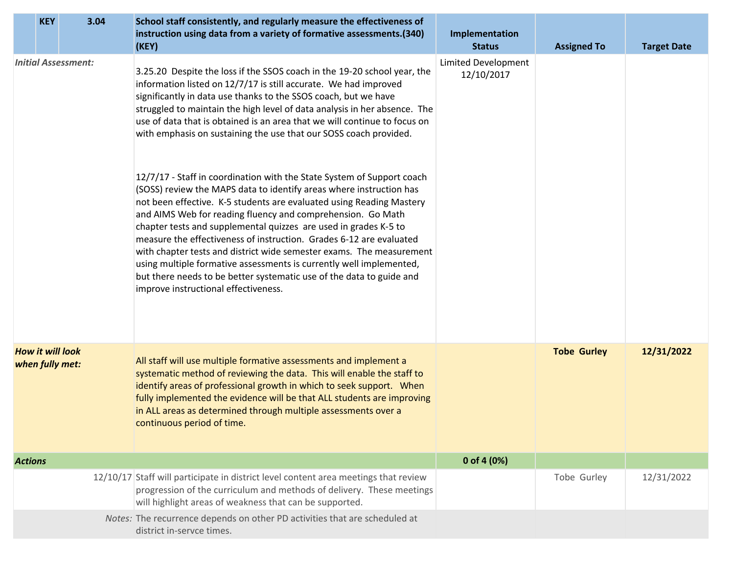|                         | <b>KEY</b>      |                            | 3.04 | School staff consistently, and regularly measure the effectiveness of<br>instruction using data from a variety of formative assessments.(340)                                                                                                                                                                                                                                                                                                                                                                                                                                                                                                                                                                                                                                                                                                                                                                                                                                                                                                                                                                                                    | Implementation                           |                    |                    |
|-------------------------|-----------------|----------------------------|------|--------------------------------------------------------------------------------------------------------------------------------------------------------------------------------------------------------------------------------------------------------------------------------------------------------------------------------------------------------------------------------------------------------------------------------------------------------------------------------------------------------------------------------------------------------------------------------------------------------------------------------------------------------------------------------------------------------------------------------------------------------------------------------------------------------------------------------------------------------------------------------------------------------------------------------------------------------------------------------------------------------------------------------------------------------------------------------------------------------------------------------------------------|------------------------------------------|--------------------|--------------------|
|                         |                 |                            |      | (KEY)                                                                                                                                                                                                                                                                                                                                                                                                                                                                                                                                                                                                                                                                                                                                                                                                                                                                                                                                                                                                                                                                                                                                            | <b>Status</b>                            | <b>Assigned To</b> | <b>Target Date</b> |
|                         |                 | <b>Initial Assessment:</b> |      | 3.25.20 Despite the loss if the SSOS coach in the 19-20 school year, the<br>information listed on 12/7/17 is still accurate. We had improved<br>significantly in data use thanks to the SSOS coach, but we have<br>struggled to maintain the high level of data analysis in her absence. The<br>use of data that is obtained is an area that we will continue to focus on<br>with emphasis on sustaining the use that our SOSS coach provided.<br>12/7/17 - Staff in coordination with the State System of Support coach<br>(SOSS) review the MAPS data to identify areas where instruction has<br>not been effective. K-5 students are evaluated using Reading Mastery<br>and AIMS Web for reading fluency and comprehension. Go Math<br>chapter tests and supplemental quizzes are used in grades K-5 to<br>measure the effectiveness of instruction. Grades 6-12 are evaluated<br>with chapter tests and district wide semester exams. The measurement<br>using multiple formative assessments is currently well implemented,<br>but there needs to be better systematic use of the data to guide and<br>improve instructional effectiveness. | <b>Limited Development</b><br>12/10/2017 |                    |                    |
| <b>How it will look</b> | when fully met: |                            |      | All staff will use multiple formative assessments and implement a<br>systematic method of reviewing the data. This will enable the staff to<br>identify areas of professional growth in which to seek support. When<br>fully implemented the evidence will be that ALL students are improving<br>in ALL areas as determined through multiple assessments over a<br>continuous period of time.                                                                                                                                                                                                                                                                                                                                                                                                                                                                                                                                                                                                                                                                                                                                                    |                                          | <b>Tobe Gurley</b> | 12/31/2022         |
| <b>Actions</b>          |                 |                            |      |                                                                                                                                                                                                                                                                                                                                                                                                                                                                                                                                                                                                                                                                                                                                                                                                                                                                                                                                                                                                                                                                                                                                                  | 0 of 4 $(0%)$                            |                    |                    |
|                         |                 |                            |      | 12/10/17 Staff will participate in district level content area meetings that review<br>progression of the curriculum and methods of delivery. These meetings<br>will highlight areas of weakness that can be supported.                                                                                                                                                                                                                                                                                                                                                                                                                                                                                                                                                                                                                                                                                                                                                                                                                                                                                                                          |                                          | Tobe Gurley        | 12/31/2022         |
|                         |                 |                            |      | Notes: The recurrence depends on other PD activities that are scheduled at<br>district in-servce times.                                                                                                                                                                                                                                                                                                                                                                                                                                                                                                                                                                                                                                                                                                                                                                                                                                                                                                                                                                                                                                          |                                          |                    |                    |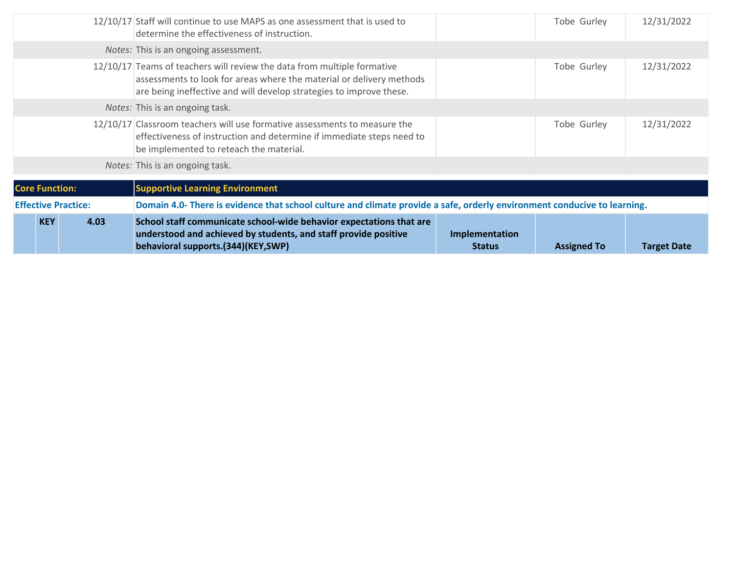| <b>KEY</b>                 | 4.03 | School staff communicate school-wide behavior expectations that are<br>understood and achieved by students, and staff provide positive<br>behavioral supports.(344)(KEY,SWP)                                           | Implementation<br><b>Status</b> | <b>Assigned To</b> | <b>Target Date</b> |  |  |
|----------------------------|------|------------------------------------------------------------------------------------------------------------------------------------------------------------------------------------------------------------------------|---------------------------------|--------------------|--------------------|--|--|
| <b>Effective Practice:</b> |      | Domain 4.0- There is evidence that school culture and climate provide a safe, orderly environment conducive to learning.                                                                                               |                                 |                    |                    |  |  |
| <b>Core Function:</b>      |      | <b>Supportive Learning Environment</b>                                                                                                                                                                                 |                                 |                    |                    |  |  |
|                            |      | Notes: This is an ongoing task.                                                                                                                                                                                        |                                 |                    |                    |  |  |
|                            |      | 12/10/17 Classroom teachers will use formative assessments to measure the<br>effectiveness of instruction and determine if immediate steps need to<br>be implemented to reteach the material.                          |                                 | Tobe Gurley        | 12/31/2022         |  |  |
|                            |      | <i>Notes:</i> This is an ongoing task.                                                                                                                                                                                 |                                 |                    |                    |  |  |
|                            |      | 12/10/17 Teams of teachers will review the data from multiple formative<br>assessments to look for areas where the material or delivery methods<br>are being ineffective and will develop strategies to improve these. |                                 | Tobe Gurley        | 12/31/2022         |  |  |
|                            |      | Notes: This is an ongoing assessment.                                                                                                                                                                                  |                                 |                    |                    |  |  |
|                            |      | 12/10/17 Staff will continue to use MAPS as one assessment that is used to<br>determine the effectiveness of instruction.                                                                                              |                                 | Tobe Gurley        | 12/31/2022         |  |  |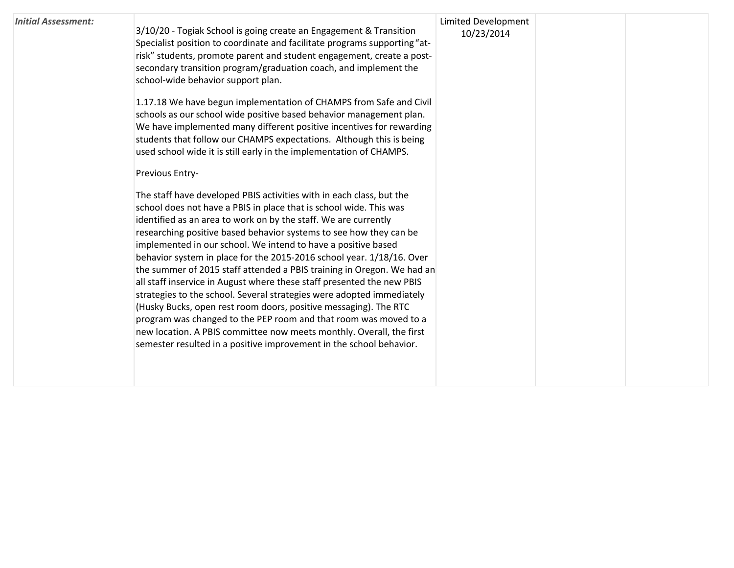| <b>Initial Assessment:</b> | 3/10/20 - Togiak School is going create an Engagement & Transition<br>Specialist position to coordinate and facilitate programs supporting "at-<br>risk" students, promote parent and student engagement, create a post-<br>secondary transition program/graduation coach, and implement the<br>school-wide behavior support plan.                                                                                                                                                                                                                                                                                                                                                                                                                                                                                                                                                                                                                | <b>Limited Development</b><br>10/23/2014 |  |
|----------------------------|---------------------------------------------------------------------------------------------------------------------------------------------------------------------------------------------------------------------------------------------------------------------------------------------------------------------------------------------------------------------------------------------------------------------------------------------------------------------------------------------------------------------------------------------------------------------------------------------------------------------------------------------------------------------------------------------------------------------------------------------------------------------------------------------------------------------------------------------------------------------------------------------------------------------------------------------------|------------------------------------------|--|
|                            | 1.17.18 We have begun implementation of CHAMPS from Safe and Civil<br>schools as our school wide positive based behavior management plan.<br>We have implemented many different positive incentives for rewarding<br>students that follow our CHAMPS expectations. Although this is being<br>used school wide it is still early in the implementation of CHAMPS.                                                                                                                                                                                                                                                                                                                                                                                                                                                                                                                                                                                  |                                          |  |
|                            | Previous Entry-                                                                                                                                                                                                                                                                                                                                                                                                                                                                                                                                                                                                                                                                                                                                                                                                                                                                                                                                   |                                          |  |
|                            | The staff have developed PBIS activities with in each class, but the<br>school does not have a PBIS in place that is school wide. This was<br>identified as an area to work on by the staff. We are currently<br>researching positive based behavior systems to see how they can be<br>implemented in our school. We intend to have a positive based<br>behavior system in place for the 2015-2016 school year. 1/18/16. Over<br>the summer of 2015 staff attended a PBIS training in Oregon. We had an<br>all staff inservice in August where these staff presented the new PBIS<br>strategies to the school. Several strategies were adopted immediately<br>(Husky Bucks, open rest room doors, positive messaging). The RTC<br>program was changed to the PEP room and that room was moved to a<br>new location. A PBIS committee now meets monthly. Overall, the first<br>semester resulted in a positive improvement in the school behavior. |                                          |  |
|                            |                                                                                                                                                                                                                                                                                                                                                                                                                                                                                                                                                                                                                                                                                                                                                                                                                                                                                                                                                   |                                          |  |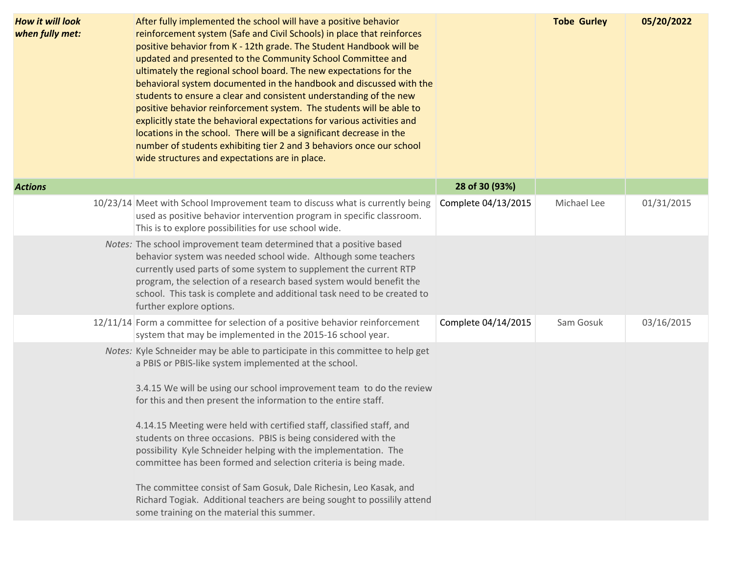| <b>How it will look</b><br>when fully met: | After fully implemented the school will have a positive behavior<br>reinforcement system (Safe and Civil Schools) in place that reinforces<br>positive behavior from K - 12th grade. The Student Handbook will be<br>updated and presented to the Community School Committee and<br>ultimately the regional school board. The new expectations for the<br>behavioral system documented in the handbook and discussed with the<br>students to ensure a clear and consistent understanding of the new<br>positive behavior reinforcement system. The students will be able to<br>explicitly state the behavioral expectations for various activities and<br>locations in the school. There will be a significant decrease in the<br>number of students exhibiting tier 2 and 3 behaviors once our school<br>wide structures and expectations are in place. |                     | <b>Tobe Gurley</b> | 05/20/2022 |
|--------------------------------------------|----------------------------------------------------------------------------------------------------------------------------------------------------------------------------------------------------------------------------------------------------------------------------------------------------------------------------------------------------------------------------------------------------------------------------------------------------------------------------------------------------------------------------------------------------------------------------------------------------------------------------------------------------------------------------------------------------------------------------------------------------------------------------------------------------------------------------------------------------------|---------------------|--------------------|------------|
| <b>Actions</b>                             |                                                                                                                                                                                                                                                                                                                                                                                                                                                                                                                                                                                                                                                                                                                                                                                                                                                          | 28 of 30 (93%)      |                    |            |
|                                            | 10/23/14 Meet with School Improvement team to discuss what is currently being<br>used as positive behavior intervention program in specific classroom.<br>This is to explore possibilities for use school wide.                                                                                                                                                                                                                                                                                                                                                                                                                                                                                                                                                                                                                                          | Complete 04/13/2015 | Michael Lee        | 01/31/2015 |
|                                            | Notes: The school improvement team determined that a positive based<br>behavior system was needed school wide. Although some teachers<br>currently used parts of some system to supplement the current RTP<br>program, the selection of a research based system would benefit the<br>school. This task is complete and additional task need to be created to<br>further explore options.                                                                                                                                                                                                                                                                                                                                                                                                                                                                 |                     |                    |            |
|                                            | 12/11/14 Form a committee for selection of a positive behavior reinforcement<br>system that may be implemented in the 2015-16 school year.                                                                                                                                                                                                                                                                                                                                                                                                                                                                                                                                                                                                                                                                                                               | Complete 04/14/2015 | Sam Gosuk          | 03/16/2015 |
|                                            | Notes: Kyle Schneider may be able to participate in this committee to help get<br>a PBIS or PBIS-like system implemented at the school.<br>3.4.15 We will be using our school improvement team to do the review<br>for this and then present the information to the entire staff.<br>4.14.15 Meeting were held with certified staff, classified staff, and<br>students on three occasions. PBIS is being considered with the<br>possibility Kyle Schneider helping with the implementation. The<br>committee has been formed and selection criteria is being made.<br>The committee consist of Sam Gosuk, Dale Richesin, Leo Kasak, and<br>Richard Togiak. Additional teachers are being sought to possilily attend<br>some training on the material this summer.                                                                                        |                     |                    |            |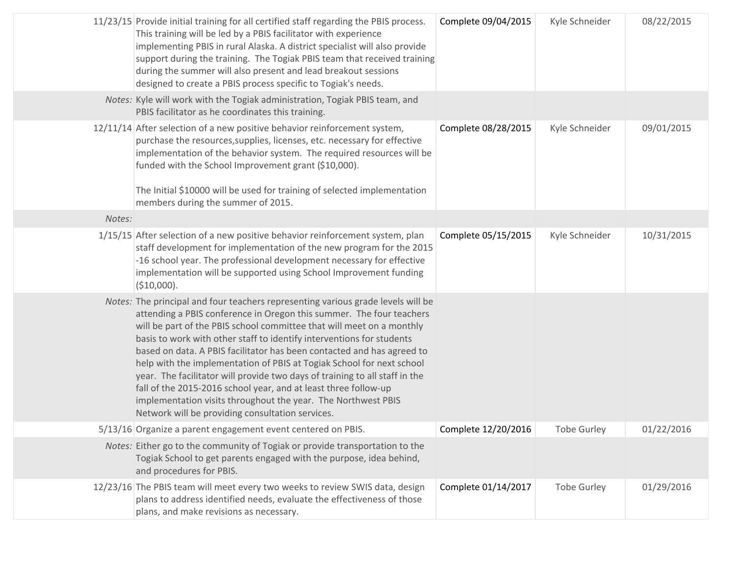|        | 11/23/15 Provide initial training for all certified staff regarding the PBIS process.<br>This training will be led by a PBIS facilitator with experience<br>implementing PBIS in rural Alaska. A district specialist will also provide<br>support during the training. The Togiak PBIS team that received training<br>during the summer will also present and lead breakout sessions<br>designed to create a PBIS process specific to Togiak's needs.                                                                                                                                                                                                                                                                                | Complete 09/04/2015 | Kyle Schneider     | 08/22/2015 |
|--------|--------------------------------------------------------------------------------------------------------------------------------------------------------------------------------------------------------------------------------------------------------------------------------------------------------------------------------------------------------------------------------------------------------------------------------------------------------------------------------------------------------------------------------------------------------------------------------------------------------------------------------------------------------------------------------------------------------------------------------------|---------------------|--------------------|------------|
|        | Notes: Kyle will work with the Togiak administration, Togiak PBIS team, and<br>PBIS facilitator as he coordinates this training.                                                                                                                                                                                                                                                                                                                                                                                                                                                                                                                                                                                                     |                     |                    |            |
|        | 12/11/14 After selection of a new positive behavior reinforcement system,<br>purchase the resources, supplies, licenses, etc. necessary for effective<br>implementation of the behavior system. The required resources will be<br>funded with the School Improvement grant (\$10,000).<br>The Initial \$10000 will be used for training of selected implementation<br>members during the summer of 2015.                                                                                                                                                                                                                                                                                                                             | Complete 08/28/2015 | Kyle Schneider     | 09/01/2015 |
| Notes: |                                                                                                                                                                                                                                                                                                                                                                                                                                                                                                                                                                                                                                                                                                                                      |                     |                    |            |
|        | 1/15/15 After selection of a new positive behavior reinforcement system, plan<br>staff development for implementation of the new program for the 2015<br>-16 school year. The professional development necessary for effective<br>implementation will be supported using School Improvement funding<br>(\$10,000).                                                                                                                                                                                                                                                                                                                                                                                                                   | Complete 05/15/2015 | Kyle Schneider     | 10/31/2015 |
|        | Notes: The principal and four teachers representing various grade levels will be<br>attending a PBIS conference in Oregon this summer. The four teachers<br>will be part of the PBIS school committee that will meet on a monthly<br>basis to work with other staff to identify interventions for students<br>based on data. A PBIS facilitator has been contacted and has agreed to<br>help with the implementation of PBIS at Togiak School for next school<br>year. The facilitator will provide two days of training to all staff in the<br>fall of the 2015-2016 school year, and at least three follow-up<br>implementation visits throughout the year. The Northwest PBIS<br>Network will be providing consultation services. |                     |                    |            |
|        | 5/13/16 Organize a parent engagement event centered on PBIS.                                                                                                                                                                                                                                                                                                                                                                                                                                                                                                                                                                                                                                                                         | Complete 12/20/2016 | Tobe Gurley        | 01/22/2016 |
|        | Notes: Either go to the community of Togiak or provide transportation to the<br>Togiak School to get parents engaged with the purpose, idea behind,<br>and procedures for PBIS.                                                                                                                                                                                                                                                                                                                                                                                                                                                                                                                                                      |                     |                    |            |
|        | 12/23/16 The PBIS team will meet every two weeks to review SWIS data, design<br>plans to address identified needs, evaluate the effectiveness of those<br>plans, and make revisions as necessary.                                                                                                                                                                                                                                                                                                                                                                                                                                                                                                                                    | Complete 01/14/2017 | <b>Tobe Gurley</b> | 01/29/2016 |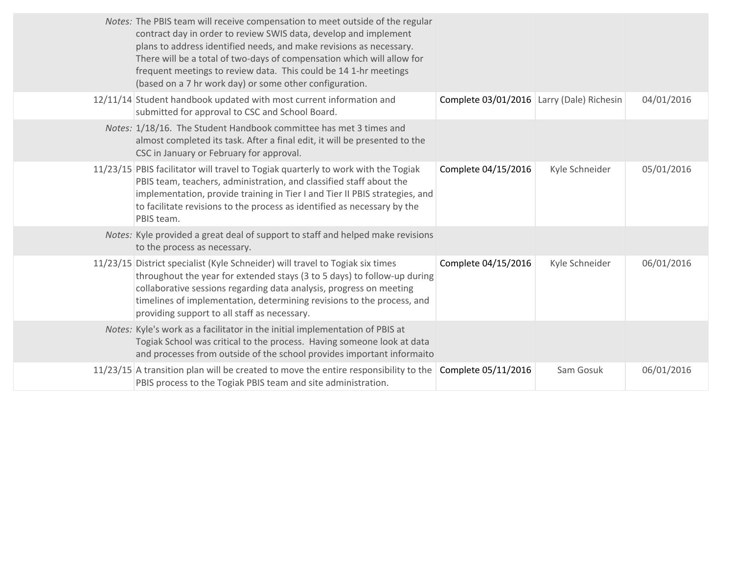| Notes: The PBIS team will receive compensation to meet outside of the regular<br>contract day in order to review SWIS data, develop and implement<br>plans to address identified needs, and make revisions as necessary.<br>There will be a total of two-days of compensation which will allow for<br>frequent meetings to review data. This could be 14 1-hr meetings<br>(based on a 7 hr work day) or some other configuration. |                                           |                |            |
|-----------------------------------------------------------------------------------------------------------------------------------------------------------------------------------------------------------------------------------------------------------------------------------------------------------------------------------------------------------------------------------------------------------------------------------|-------------------------------------------|----------------|------------|
| 12/11/14 Student handbook updated with most current information and<br>submitted for approval to CSC and School Board.                                                                                                                                                                                                                                                                                                            | Complete 03/01/2016 Larry (Dale) Richesin |                | 04/01/2016 |
| Notes: 1/18/16. The Student Handbook committee has met 3 times and<br>almost completed its task. After a final edit, it will be presented to the<br>CSC in January or February for approval.                                                                                                                                                                                                                                      |                                           |                |            |
| 11/23/15 PBIS facilitator will travel to Togiak quarterly to work with the Togiak<br>PBIS team, teachers, administration, and classified staff about the<br>implementation, provide training in Tier I and Tier II PBIS strategies, and<br>to facilitate revisions to the process as identified as necessary by the<br>PBIS team.                                                                                                 | Complete 04/15/2016                       | Kyle Schneider | 05/01/2016 |
| Notes: Kyle provided a great deal of support to staff and helped make revisions<br>to the process as necessary.                                                                                                                                                                                                                                                                                                                   |                                           |                |            |
| 11/23/15 District specialist (Kyle Schneider) will travel to Togiak six times<br>throughout the year for extended stays (3 to 5 days) to follow-up during<br>collaborative sessions regarding data analysis, progress on meeting<br>timelines of implementation, determining revisions to the process, and<br>providing support to all staff as necessary.                                                                        | Complete 04/15/2016                       | Kyle Schneider | 06/01/2016 |
| Notes: Kyle's work as a facilitator in the initial implementation of PBIS at<br>Togiak School was critical to the process. Having someone look at data<br>and processes from outside of the school provides important informaito                                                                                                                                                                                                  |                                           |                |            |
| 11/23/15 A transition plan will be created to move the entire responsibility to the Complete 05/11/2016<br>PBIS process to the Togiak PBIS team and site administration.                                                                                                                                                                                                                                                          |                                           | Sam Gosuk      | 06/01/2016 |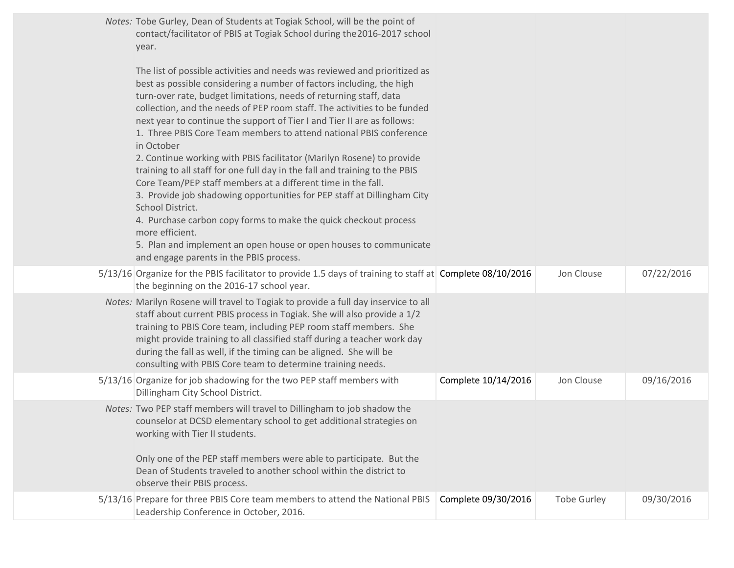| Notes: Tobe Gurley, Dean of Students at Togiak School, will be the point of<br>contact/facilitator of PBIS at Togiak School during the 2016-2017 school<br>year.                                                                                                                                                                                                                                                                                                                                                                                                                                                                                                                                                                                                                                                                                                                                                                                                                                 |                     |                    |            |
|--------------------------------------------------------------------------------------------------------------------------------------------------------------------------------------------------------------------------------------------------------------------------------------------------------------------------------------------------------------------------------------------------------------------------------------------------------------------------------------------------------------------------------------------------------------------------------------------------------------------------------------------------------------------------------------------------------------------------------------------------------------------------------------------------------------------------------------------------------------------------------------------------------------------------------------------------------------------------------------------------|---------------------|--------------------|------------|
| The list of possible activities and needs was reviewed and prioritized as<br>best as possible considering a number of factors including, the high<br>turn-over rate, budget limitations, needs of returning staff, data<br>collection, and the needs of PEP room staff. The activities to be funded<br>next year to continue the support of Tier I and Tier II are as follows:<br>1. Three PBIS Core Team members to attend national PBIS conference<br>in October<br>2. Continue working with PBIS facilitator (Marilyn Rosene) to provide<br>training to all staff for one full day in the fall and training to the PBIS<br>Core Team/PEP staff members at a different time in the fall.<br>3. Provide job shadowing opportunities for PEP staff at Dillingham City<br>School District.<br>4. Purchase carbon copy forms to make the quick checkout process<br>more efficient.<br>5. Plan and implement an open house or open houses to communicate<br>and engage parents in the PBIS process. |                     |                    |            |
| 5/13/16 Organize for the PBIS facilitator to provide 1.5 days of training to staff at Complete 08/10/2016<br>the beginning on the 2016-17 school year.                                                                                                                                                                                                                                                                                                                                                                                                                                                                                                                                                                                                                                                                                                                                                                                                                                           |                     | Jon Clouse         | 07/22/2016 |
| Notes: Marilyn Rosene will travel to Togiak to provide a full day inservice to all<br>staff about current PBIS process in Togiak. She will also provide a 1/2<br>training to PBIS Core team, including PEP room staff members. She<br>might provide training to all classified staff during a teacher work day<br>during the fall as well, if the timing can be aligned. She will be<br>consulting with PBIS Core team to determine training needs.                                                                                                                                                                                                                                                                                                                                                                                                                                                                                                                                              |                     |                    |            |
| 5/13/16 Organize for job shadowing for the two PEP staff members with<br>Dillingham City School District.                                                                                                                                                                                                                                                                                                                                                                                                                                                                                                                                                                                                                                                                                                                                                                                                                                                                                        | Complete 10/14/2016 | Jon Clouse         | 09/16/2016 |
| Notes: Two PEP staff members will travel to Dillingham to job shadow the<br>counselor at DCSD elementary school to get additional strategies on<br>working with Tier II students.<br>Only one of the PEP staff members were able to participate. But the<br>Dean of Students traveled to another school within the district to<br>observe their PBIS process.                                                                                                                                                                                                                                                                                                                                                                                                                                                                                                                                                                                                                                    |                     |                    |            |
| 5/13/16 Prepare for three PBIS Core team members to attend the National PBIS<br>Leadership Conference in October, 2016.                                                                                                                                                                                                                                                                                                                                                                                                                                                                                                                                                                                                                                                                                                                                                                                                                                                                          | Complete 09/30/2016 | <b>Tobe Gurley</b> | 09/30/2016 |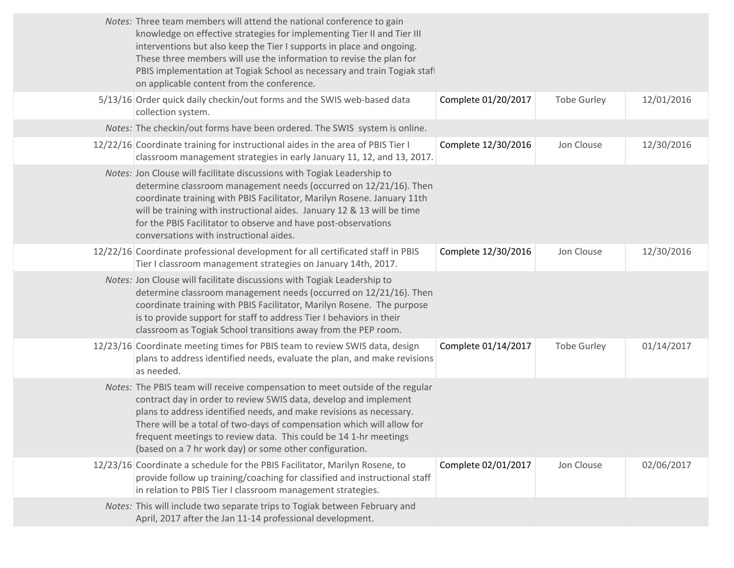| Notes: Three team members will attend the national conference to gain<br>knowledge on effective strategies for implementing Tier II and Tier III<br>interventions but also keep the Tier I supports in place and ongoing.<br>These three members will use the information to revise the plan for<br>on applicable content from the conference.                                                                                    |                     |                                                                          |            |
|-----------------------------------------------------------------------------------------------------------------------------------------------------------------------------------------------------------------------------------------------------------------------------------------------------------------------------------------------------------------------------------------------------------------------------------|---------------------|--------------------------------------------------------------------------|------------|
| 5/13/16 Order quick daily checkin/out forms and the SWIS web-based data<br>collection system.                                                                                                                                                                                                                                                                                                                                     | Complete 01/20/2017 | <b>Tobe Gurley</b>                                                       | 12/01/2016 |
| Notes: The checkin/out forms have been ordered. The SWIS system is online.                                                                                                                                                                                                                                                                                                                                                        |                     |                                                                          |            |
| 12/22/16 Coordinate training for instructional aides in the area of PBIS Tier I<br>classroom management strategies in early January 11, 12, and 13, 2017.                                                                                                                                                                                                                                                                         | Complete 12/30/2016 | Jon Clouse                                                               | 12/30/2016 |
| Notes: Jon Clouse will facilitate discussions with Togiak Leadership to<br>determine classroom management needs (occurred on 12/21/16). Then<br>coordinate training with PBIS Facilitator, Marilyn Rosene. January 11th<br>will be training with instructional aides. January 12 & 13 will be time<br>for the PBIS Facilitator to observe and have post-observations<br>conversations with instructional aides.                   |                     |                                                                          |            |
| 12/22/16 Coordinate professional development for all certificated staff in PBIS<br>Tier I classroom management strategies on January 14th, 2017.                                                                                                                                                                                                                                                                                  | Complete 12/30/2016 | Jon Clouse                                                               | 12/30/2016 |
| Notes: Jon Clouse will facilitate discussions with Togiak Leadership to<br>determine classroom management needs (occurred on 12/21/16). Then<br>coordinate training with PBIS Facilitator, Marilyn Rosene. The purpose<br>is to provide support for staff to address Tier I behaviors in their<br>classroom as Togiak School transitions away from the PEP room.                                                                  |                     |                                                                          |            |
| 12/23/16 Coordinate meeting times for PBIS team to review SWIS data, design<br>plans to address identified needs, evaluate the plan, and make revisions<br>as needed.                                                                                                                                                                                                                                                             | Complete 01/14/2017 | <b>Tobe Gurley</b>                                                       | 01/14/2017 |
| Notes: The PBIS team will receive compensation to meet outside of the regular<br>contract day in order to review SWIS data, develop and implement<br>plans to address identified needs, and make revisions as necessary.<br>There will be a total of two-days of compensation which will allow for<br>frequent meetings to review data. This could be 14 1-hr meetings<br>(based on a 7 hr work day) or some other configuration. |                     |                                                                          |            |
| 12/23/16 Coordinate a schedule for the PBIS Facilitator, Marilyn Rosene, to<br>provide follow up training/coaching for classified and instructional staff<br>in relation to PBIS Tier I classroom management strategies.                                                                                                                                                                                                          | Complete 02/01/2017 | Jon Clouse                                                               | 02/06/2017 |
| Notes: This will include two separate trips to Togiak between February and<br>April, 2017 after the Jan 11-14 professional development.                                                                                                                                                                                                                                                                                           |                     |                                                                          |            |
|                                                                                                                                                                                                                                                                                                                                                                                                                                   |                     | PBIS implementation at Togiak School as necessary and train Togiak staff |            |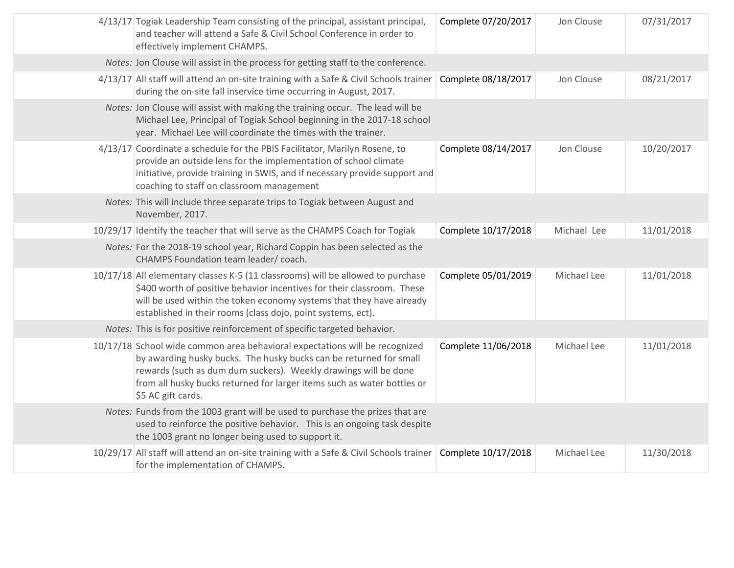| 4/13/17 Togiak Leadership Team consisting of the principal, assistant principal,<br>and teacher will attend a Safe & Civil School Conference in order to<br>effectively implement CHAMPS.                                                                                                                             | Complete 07/20/2017 | Jon Clouse  | 07/31/2017 |
|-----------------------------------------------------------------------------------------------------------------------------------------------------------------------------------------------------------------------------------------------------------------------------------------------------------------------|---------------------|-------------|------------|
| Notes: Jon Clouse will assist in the process for getting staff to the conference.                                                                                                                                                                                                                                     |                     |             |            |
| 4/13/17 All staff will attend an on-site training with a Safe & Civil Schools trainer<br>during the on-site fall inservice time occurring in August, 2017.                                                                                                                                                            | Complete 08/18/2017 | Jon Clouse  | 08/21/2017 |
| Notes: Jon Clouse will assist with making the training occur. The lead will be<br>Michael Lee, Principal of Togiak School beginning in the 2017-18 school<br>year. Michael Lee will coordinate the times with the trainer.                                                                                            |                     |             |            |
| 4/13/17 Coordinate a schedule for the PBIS Facilitator, Marilyn Rosene, to<br>provide an outside lens for the implementation of school climate<br>initiative, provide training in SWIS, and if necessary provide support and<br>coaching to staff on classroom management                                             | Complete 08/14/2017 | Jon Clouse  | 10/20/2017 |
| Notes: This will include three separate trips to Togiak between August and<br>November, 2017.                                                                                                                                                                                                                         |                     |             |            |
| 10/29/17 Identify the teacher that will serve as the CHAMPS Coach for Togiak                                                                                                                                                                                                                                          | Complete 10/17/2018 | Michael Lee | 11/01/2018 |
| Notes: For the 2018-19 school year, Richard Coppin has been selected as the<br>CHAMPS Foundation team leader/ coach.                                                                                                                                                                                                  |                     |             |            |
| 10/17/18 All elementary classes K-5 (11 classrooms) will be allowed to purchase<br>\$400 worth of positive behavior incentives for their classroom. These<br>will be used within the token economy systems that they have already<br>established in their rooms (class dojo, point systems, ect).                     | Complete 05/01/2019 | Michael Lee | 11/01/2018 |
| Notes: This is for positive reinforcement of specific targeted behavior.                                                                                                                                                                                                                                              |                     |             |            |
| 10/17/18 School wide common area behavioral expectations will be recognized<br>by awarding husky bucks. The husky bucks can be returned for small<br>rewards (such as dum dum suckers). Weekly drawings will be done<br>from all husky bucks returned for larger items such as water bottles or<br>\$5 AC gift cards. | Complete 11/06/2018 | Michael Lee | 11/01/2018 |
| Notes: Funds from the 1003 grant will be used to purchase the prizes that are<br>used to reinforce the positive behavior. This is an ongoing task despite<br>the 1003 grant no longer being used to support it.                                                                                                       |                     |             |            |
| 10/29/17 All staff will attend an on-site training with a Safe & Civil Schools trainer Complete 10/17/2018<br>for the implementation of CHAMPS.                                                                                                                                                                       |                     | Michael Lee | 11/30/2018 |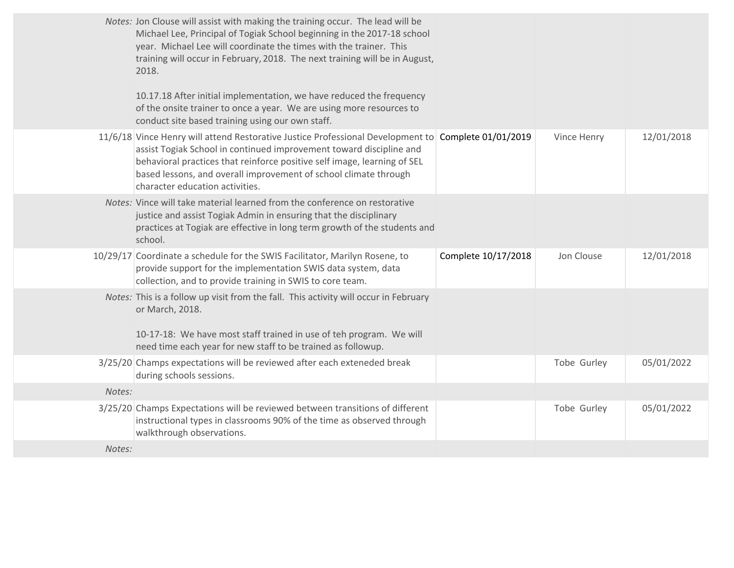|        | Notes: Jon Clouse will assist with making the training occur. The lead will be<br>Michael Lee, Principal of Togiak School beginning in the 2017-18 school<br>year. Michael Lee will coordinate the times with the trainer. This<br>training will occur in February, 2018. The next training will be in August,<br>2018.<br>10.17.18 After initial implementation, we have reduced the frequency |                     |             |            |
|--------|-------------------------------------------------------------------------------------------------------------------------------------------------------------------------------------------------------------------------------------------------------------------------------------------------------------------------------------------------------------------------------------------------|---------------------|-------------|------------|
|        | of the onsite trainer to once a year. We are using more resources to<br>conduct site based training using our own staff.                                                                                                                                                                                                                                                                        |                     |             |            |
|        | 11/6/18 Vince Henry will attend Restorative Justice Professional Development to Complete 01/01/2019<br>assist Togiak School in continued improvement toward discipline and<br>behavioral practices that reinforce positive self image, learning of SEL<br>based lessons, and overall improvement of school climate through<br>character education activities.                                   |                     | Vince Henry | 12/01/2018 |
|        | Notes: Vince will take material learned from the conference on restorative<br>justice and assist Togiak Admin in ensuring that the disciplinary<br>practices at Togiak are effective in long term growth of the students and<br>school.                                                                                                                                                         |                     |             |            |
|        | 10/29/17 Coordinate a schedule for the SWIS Facilitator, Marilyn Rosene, to<br>provide support for the implementation SWIS data system, data<br>collection, and to provide training in SWIS to core team.                                                                                                                                                                                       | Complete 10/17/2018 | Jon Clouse  | 12/01/2018 |
|        | Notes: This is a follow up visit from the fall. This activity will occur in February<br>or March, 2018.<br>10-17-18: We have most staff trained in use of teh program. We will<br>need time each year for new staff to be trained as followup.                                                                                                                                                  |                     |             |            |
|        | 3/25/20 Champs expectations will be reviewed after each exteneded break<br>during schools sessions.                                                                                                                                                                                                                                                                                             |                     | Tobe Gurley | 05/01/2022 |
| Notes: |                                                                                                                                                                                                                                                                                                                                                                                                 |                     |             |            |
|        | 3/25/20 Champs Expectations will be reviewed between transitions of different<br>instructional types in classrooms 90% of the time as observed through<br>walkthrough observations.                                                                                                                                                                                                             |                     | Tobe Gurley | 05/01/2022 |
| Notes: |                                                                                                                                                                                                                                                                                                                                                                                                 |                     |             |            |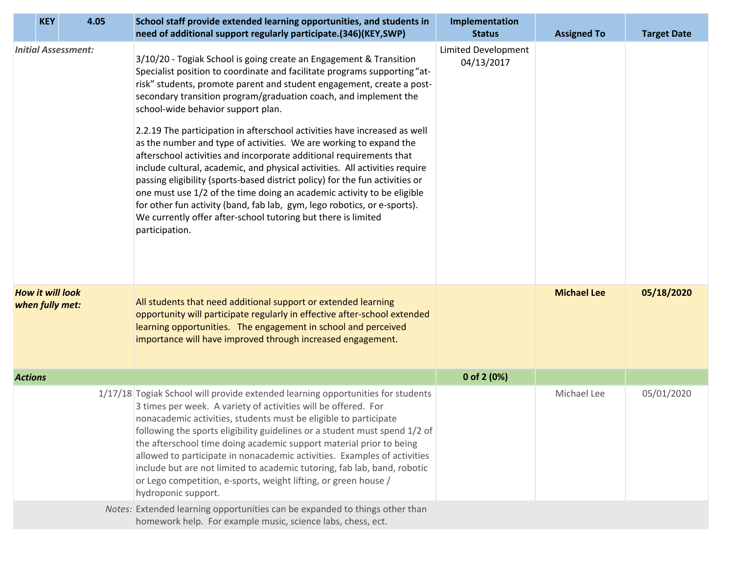| <b>KEY</b>                                 | 4.05 | School staff provide extended learning opportunities, and students in<br>need of additional support regularly participate.(346)(KEY,SWP)                                                                                                                                                                                                                                                                                                                                                                                                                                                                                                                                                                                                                                                                                                                                                                                                                             | Implementation<br><b>Status</b>          | <b>Assigned To</b> | <b>Target Date</b> |
|--------------------------------------------|------|----------------------------------------------------------------------------------------------------------------------------------------------------------------------------------------------------------------------------------------------------------------------------------------------------------------------------------------------------------------------------------------------------------------------------------------------------------------------------------------------------------------------------------------------------------------------------------------------------------------------------------------------------------------------------------------------------------------------------------------------------------------------------------------------------------------------------------------------------------------------------------------------------------------------------------------------------------------------|------------------------------------------|--------------------|--------------------|
| <b>Initial Assessment:</b>                 |      | 3/10/20 - Togiak School is going create an Engagement & Transition<br>Specialist position to coordinate and facilitate programs supporting "at-<br>risk" students, promote parent and student engagement, create a post-<br>secondary transition program/graduation coach, and implement the<br>school-wide behavior support plan.<br>2.2.19 The participation in afterschool activities have increased as well<br>as the number and type of activities. We are working to expand the<br>afterschool activities and incorporate additional requirements that<br>include cultural, academic, and physical activities. All activities require<br>passing eligibility (sports-based district policy) for the fun activities or<br>one must use 1/2 of the time doing an academic activity to be eligible<br>for other fun activity (band, fab lab, gym, lego robotics, or e-sports).<br>We currently offer after-school tutoring but there is limited<br>participation. | <b>Limited Development</b><br>04/13/2017 |                    |                    |
| <b>How it will look</b><br>when fully met: |      | All students that need additional support or extended learning<br>opportunity will participate regularly in effective after-school extended<br>learning opportunities. The engagement in school and perceived<br>importance will have improved through increased engagement.                                                                                                                                                                                                                                                                                                                                                                                                                                                                                                                                                                                                                                                                                         |                                          | <b>Michael Lee</b> | 05/18/2020         |
| <b>Actions</b>                             |      |                                                                                                                                                                                                                                                                                                                                                                                                                                                                                                                                                                                                                                                                                                                                                                                                                                                                                                                                                                      | 0 of 2 (0%)                              |                    |                    |
|                                            |      | 1/17/18 Togiak School will provide extended learning opportunities for students<br>3 times per week. A variety of activities will be offered. For<br>nonacademic activities, students must be eligible to participate<br>following the sports eligibility guidelines or a student must spend 1/2 of<br>the afterschool time doing academic support material prior to being<br>allowed to participate in nonacademic activities. Examples of activities<br>include but are not limited to academic tutoring, fab lab, band, robotic<br>or Lego competition, e-sports, weight lifting, or green house /<br>hydroponic support.                                                                                                                                                                                                                                                                                                                                         |                                          | Michael Lee        | 05/01/2020         |
|                                            |      | Notes: Extended learning opportunities can be expanded to things other than<br>homework help. For example music, science labs, chess, ect.                                                                                                                                                                                                                                                                                                                                                                                                                                                                                                                                                                                                                                                                                                                                                                                                                           |                                          |                    |                    |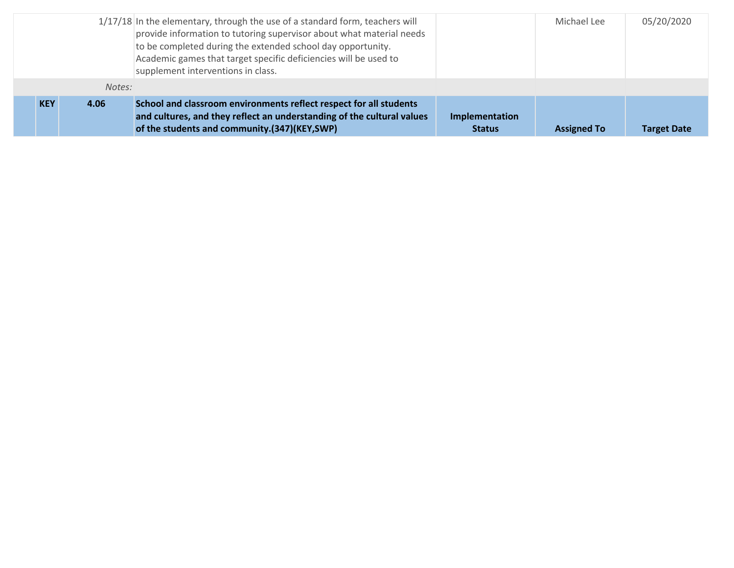|            |        | 1/17/18 In the elementary, through the use of a standard form, teachers will<br>provide information to tutoring supervisor about what material needs<br>to be completed during the extended school day opportunity.<br>Academic games that target specific deficiencies will be used to<br>supplement interventions in class. |                                 | Michael Lee        | 05/20/2020         |
|------------|--------|-------------------------------------------------------------------------------------------------------------------------------------------------------------------------------------------------------------------------------------------------------------------------------------------------------------------------------|---------------------------------|--------------------|--------------------|
|            | Notes: |                                                                                                                                                                                                                                                                                                                               |                                 |                    |                    |
| <b>KEY</b> | 4.06   | School and classroom environments reflect respect for all students<br>and cultures, and they reflect an understanding of the cultural values<br>of the students and community.(347)(KEY,SWP)                                                                                                                                  | Implementation<br><b>Status</b> | <b>Assigned To</b> | <b>Target Date</b> |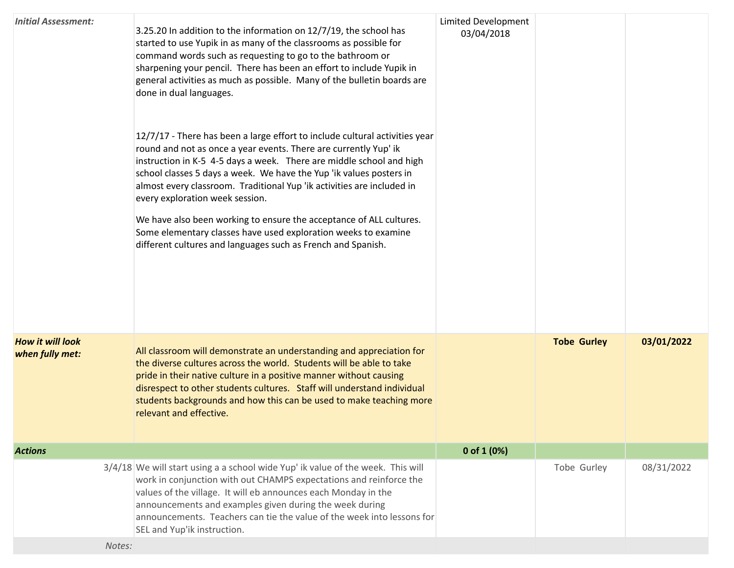| <b>Initial Assessment:</b>                 | 3.25.20 In addition to the information on 12/7/19, the school has<br>started to use Yupik in as many of the classrooms as possible for<br>command words such as requesting to go to the bathroom or<br>sharpening your pencil. There has been an effort to include Yupik in<br>general activities as much as possible. Many of the bulletin boards are<br>done in dual languages.<br>12/7/17 - There has been a large effort to include cultural activities year<br>round and not as once a year events. There are currently Yup' ik<br>instruction in K-5 4-5 days a week. There are middle school and high<br>school classes 5 days a week. We have the Yup 'ik values posters in<br>almost every classroom. Traditional Yup 'ik activities are included in<br>every exploration week session.<br>We have also been working to ensure the acceptance of ALL cultures.<br>Some elementary classes have used exploration weeks to examine<br>different cultures and languages such as French and Spanish. | <b>Limited Development</b><br>03/04/2018 |                    |            |
|--------------------------------------------|-----------------------------------------------------------------------------------------------------------------------------------------------------------------------------------------------------------------------------------------------------------------------------------------------------------------------------------------------------------------------------------------------------------------------------------------------------------------------------------------------------------------------------------------------------------------------------------------------------------------------------------------------------------------------------------------------------------------------------------------------------------------------------------------------------------------------------------------------------------------------------------------------------------------------------------------------------------------------------------------------------------|------------------------------------------|--------------------|------------|
| <b>How it will look</b><br>when fully met: | All classroom will demonstrate an understanding and appreciation for<br>the diverse cultures across the world. Students will be able to take<br>pride in their native culture in a positive manner without causing<br>disrespect to other students cultures. Staff will understand individual<br>students backgrounds and how this can be used to make teaching more<br>relevant and effective.                                                                                                                                                                                                                                                                                                                                                                                                                                                                                                                                                                                                           |                                          | <b>Tobe Gurley</b> | 03/01/2022 |
| <b>Actions</b>                             |                                                                                                                                                                                                                                                                                                                                                                                                                                                                                                                                                                                                                                                                                                                                                                                                                                                                                                                                                                                                           | 0 of $1(0%)$                             |                    |            |
|                                            | 3/4/18 We will start using a a school wide Yup' ik value of the week. This will<br>work in conjunction with out CHAMPS expectations and reinforce the<br>values of the village. It will eb announces each Monday in the<br>announcements and examples given during the week during<br>announcements. Teachers can tie the value of the week into lessons for<br>SEL and Yup'ik instruction.                                                                                                                                                                                                                                                                                                                                                                                                                                                                                                                                                                                                               |                                          | Tobe Gurley        | 08/31/2022 |
| Notes:                                     |                                                                                                                                                                                                                                                                                                                                                                                                                                                                                                                                                                                                                                                                                                                                                                                                                                                                                                                                                                                                           |                                          |                    |            |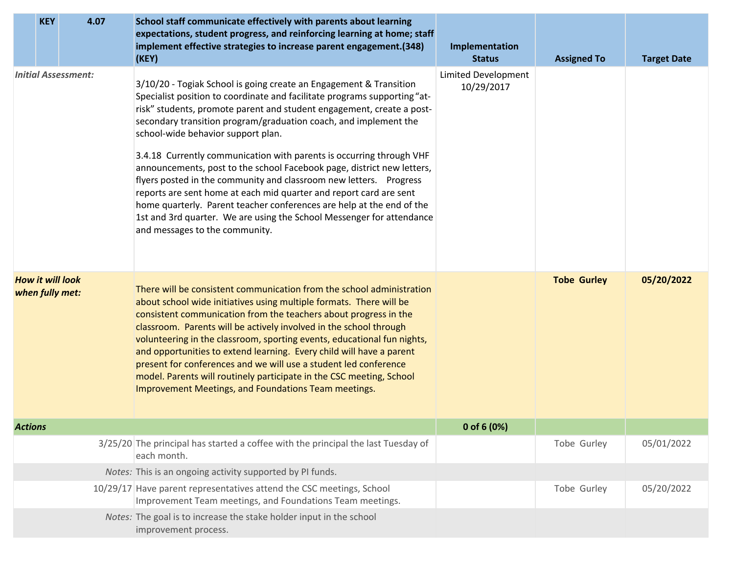|                | <b>KEY</b>                                 | 4.07                       | School staff communicate effectively with parents about learning<br>expectations, student progress, and reinforcing learning at home; staff                                                                                                                                                                                                                                                                                                                                                                                                                                                                                                                                                                                                                                                                          |                                   |                    |                    |
|----------------|--------------------------------------------|----------------------------|----------------------------------------------------------------------------------------------------------------------------------------------------------------------------------------------------------------------------------------------------------------------------------------------------------------------------------------------------------------------------------------------------------------------------------------------------------------------------------------------------------------------------------------------------------------------------------------------------------------------------------------------------------------------------------------------------------------------------------------------------------------------------------------------------------------------|-----------------------------------|--------------------|--------------------|
|                |                                            |                            | implement effective strategies to increase parent engagement.(348)<br>(KEY)                                                                                                                                                                                                                                                                                                                                                                                                                                                                                                                                                                                                                                                                                                                                          | Implementation<br><b>Status</b>   | <b>Assigned To</b> | <b>Target Date</b> |
|                |                                            | <b>Initial Assessment:</b> | 3/10/20 - Togiak School is going create an Engagement & Transition<br>Specialist position to coordinate and facilitate programs supporting "at-<br>risk" students, promote parent and student engagement, create a post-<br>secondary transition program/graduation coach, and implement the<br>school-wide behavior support plan.<br>3.4.18 Currently communication with parents is occurring through VHF<br>announcements, post to the school Facebook page, district new letters,<br>flyers posted in the community and classroom new letters. Progress<br>reports are sent home at each mid quarter and report card are sent<br>home quarterly. Parent teacher conferences are help at the end of the<br>1st and 3rd quarter. We are using the School Messenger for attendance<br>and messages to the community. | Limited Development<br>10/29/2017 |                    |                    |
|                | <b>How it will look</b><br>when fully met: |                            | There will be consistent communication from the school administration<br>about school wide initiatives using multiple formats. There will be<br>consistent communication from the teachers about progress in the<br>classroom. Parents will be actively involved in the school through<br>volunteering in the classroom, sporting events, educational fun nights,<br>and opportunities to extend learning. Every child will have a parent<br>present for conferences and we will use a student led conference<br>model. Parents will routinely participate in the CSC meeting, School<br>Improvement Meetings, and Foundations Team meetings.                                                                                                                                                                        |                                   | <b>Tobe Gurley</b> | 05/20/2022         |
| <b>Actions</b> |                                            |                            |                                                                                                                                                                                                                                                                                                                                                                                                                                                                                                                                                                                                                                                                                                                                                                                                                      | 0 of 6 (0%)                       |                    |                    |
|                |                                            |                            | 3/25/20 The principal has started a coffee with the principal the last Tuesday of<br>each month.                                                                                                                                                                                                                                                                                                                                                                                                                                                                                                                                                                                                                                                                                                                     |                                   | Tobe Gurley        | 05/01/2022         |
|                |                                            |                            | Notes: This is an ongoing activity supported by PI funds.                                                                                                                                                                                                                                                                                                                                                                                                                                                                                                                                                                                                                                                                                                                                                            |                                   |                    |                    |
|                |                                            |                            | 10/29/17 Have parent representatives attend the CSC meetings, School<br>Improvement Team meetings, and Foundations Team meetings.                                                                                                                                                                                                                                                                                                                                                                                                                                                                                                                                                                                                                                                                                    |                                   | Tobe Gurley        | 05/20/2022         |
|                |                                            |                            | Notes: The goal is to increase the stake holder input in the school<br>improvement process.                                                                                                                                                                                                                                                                                                                                                                                                                                                                                                                                                                                                                                                                                                                          |                                   |                    |                    |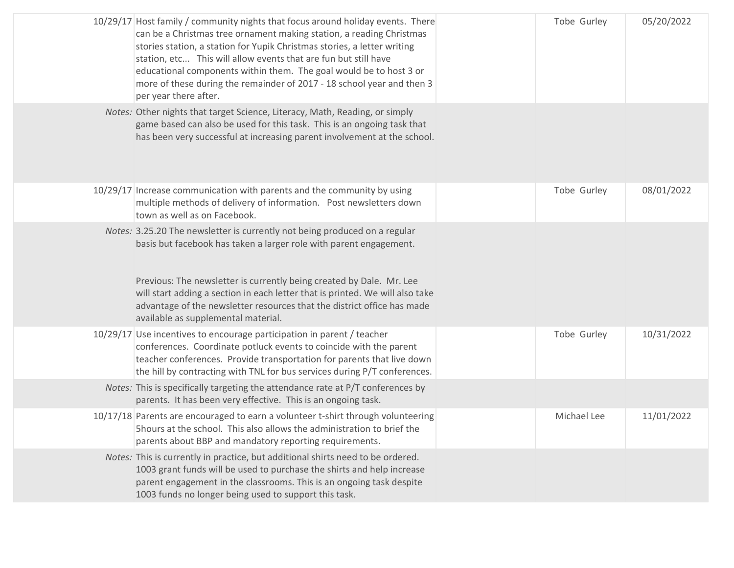| 10/29/17 Host family / community nights that focus around holiday events. There<br>can be a Christmas tree ornament making station, a reading Christmas<br>stories station, a station for Yupik Christmas stories, a letter writing<br>station, etc This will allow events that are fun but still have<br>educational components within them. The goal would be to host 3 or<br>more of these during the remainder of 2017 - 18 school year and then 3<br>per year there after. | Tobe Gurley | 05/20/2022 |
|---------------------------------------------------------------------------------------------------------------------------------------------------------------------------------------------------------------------------------------------------------------------------------------------------------------------------------------------------------------------------------------------------------------------------------------------------------------------------------|-------------|------------|
| Notes: Other nights that target Science, Literacy, Math, Reading, or simply<br>game based can also be used for this task. This is an ongoing task that<br>has been very successful at increasing parent involvement at the school.                                                                                                                                                                                                                                              |             |            |
| 10/29/17 Increase communication with parents and the community by using<br>multiple methods of delivery of information. Post newsletters down<br>town as well as on Facebook.                                                                                                                                                                                                                                                                                                   | Tobe Gurley | 08/01/2022 |
| Notes: 3.25.20 The newsletter is currently not being produced on a regular<br>basis but facebook has taken a larger role with parent engagement.<br>Previous: The newsletter is currently being created by Dale. Mr. Lee<br>will start adding a section in each letter that is printed. We will also take<br>advantage of the newsletter resources that the district office has made<br>available as supplemental material.                                                     |             |            |
| 10/29/17 Use incentives to encourage participation in parent / teacher<br>conferences. Coordinate potluck events to coincide with the parent<br>teacher conferences. Provide transportation for parents that live down<br>the hill by contracting with TNL for bus services during P/T conferences.                                                                                                                                                                             | Tobe Gurley | 10/31/2022 |
| Notes: This is specifically targeting the attendance rate at P/T conferences by<br>parents. It has been very effective. This is an ongoing task.                                                                                                                                                                                                                                                                                                                                |             |            |
| 10/17/18 Parents are encouraged to earn a volunteer t-shirt through volunteering<br>5hours at the school. This also allows the administration to brief the<br>parents about BBP and mandatory reporting requirements.                                                                                                                                                                                                                                                           | Michael Lee | 11/01/2022 |
| Notes: This is currently in practice, but additional shirts need to be ordered.<br>1003 grant funds will be used to purchase the shirts and help increase<br>parent engagement in the classrooms. This is an ongoing task despite<br>1003 funds no longer being used to support this task.                                                                                                                                                                                      |             |            |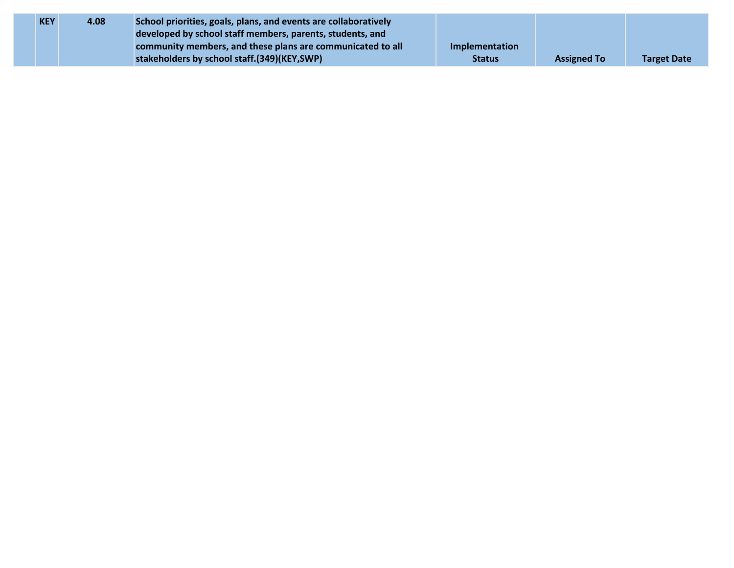| <b>KEY</b> | 4.08 | School priorities, goals, plans, and events are collaboratively |                |                    |                    |
|------------|------|-----------------------------------------------------------------|----------------|--------------------|--------------------|
|            |      | developed by school staff members, parents, students, and       |                |                    |                    |
|            |      | community members, and these plans are communicated to all      | Implementation |                    |                    |
|            |      | stakeholders by school staff.(349)(KEY,SWP)                     | <b>Status</b>  | <b>Assigned To</b> | <b>Target Date</b> |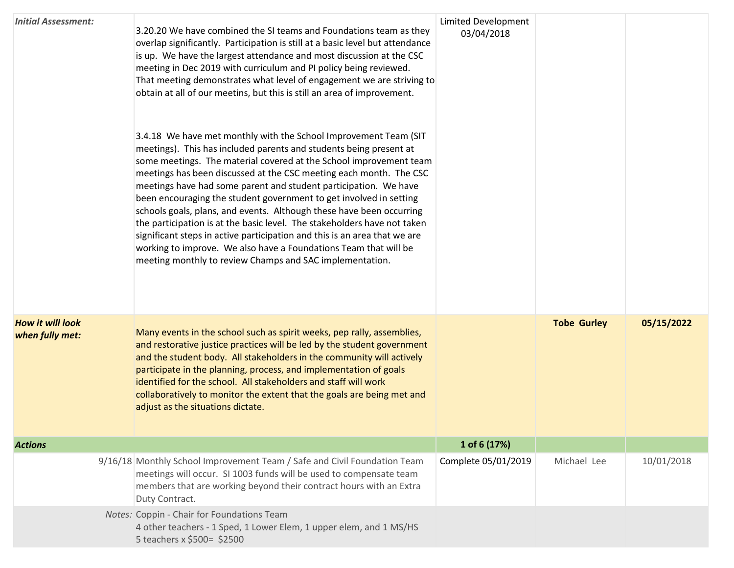| <b>Initial Assessment:</b>                 | 3.20.20 We have combined the SI teams and Foundations team as they<br>overlap significantly. Participation is still at a basic level but attendance<br>is up. We have the largest attendance and most discussion at the CSC<br>meeting in Dec 2019 with curriculum and PI policy being reviewed.<br>That meeting demonstrates what level of engagement we are striving to<br>obtain at all of our meetins, but this is still an area of improvement.<br>3.4.18 We have met monthly with the School Improvement Team (SIT<br>meetings). This has included parents and students being present at<br>some meetings. The material covered at the School improvement team<br>meetings has been discussed at the CSC meeting each month. The CSC<br>meetings have had some parent and student participation. We have<br>been encouraging the student government to get involved in setting<br>schools goals, plans, and events. Although these have been occurring<br>the participation is at the basic level. The stakeholders have not taken<br>significant steps in active participation and this is an area that we are<br>working to improve. We also have a Foundations Team that will be<br>meeting monthly to review Champs and SAC implementation. | <b>Limited Development</b><br>03/04/2018 |                    |            |
|--------------------------------------------|-------------------------------------------------------------------------------------------------------------------------------------------------------------------------------------------------------------------------------------------------------------------------------------------------------------------------------------------------------------------------------------------------------------------------------------------------------------------------------------------------------------------------------------------------------------------------------------------------------------------------------------------------------------------------------------------------------------------------------------------------------------------------------------------------------------------------------------------------------------------------------------------------------------------------------------------------------------------------------------------------------------------------------------------------------------------------------------------------------------------------------------------------------------------------------------------------------------------------------------------------------|------------------------------------------|--------------------|------------|
| <b>How it will look</b><br>when fully met: | Many events in the school such as spirit weeks, pep rally, assemblies,<br>and restorative justice practices will be led by the student government<br>and the student body. All stakeholders in the community will actively<br>participate in the planning, process, and implementation of goals<br>identified for the school. All stakeholders and staff will work<br>collaboratively to monitor the extent that the goals are being met and<br>adjust as the situations dictate.                                                                                                                                                                                                                                                                                                                                                                                                                                                                                                                                                                                                                                                                                                                                                                     |                                          | <b>Tobe Gurley</b> | 05/15/2022 |
| <b>Actions</b>                             |                                                                                                                                                                                                                                                                                                                                                                                                                                                                                                                                                                                                                                                                                                                                                                                                                                                                                                                                                                                                                                                                                                                                                                                                                                                       | 1 of 6 (17%)                             |                    |            |
|                                            | 9/16/18 Monthly School Improvement Team / Safe and Civil Foundation Team<br>meetings will occur. SI 1003 funds will be used to compensate team<br>members that are working beyond their contract hours with an Extra<br>Duty Contract.                                                                                                                                                                                                                                                                                                                                                                                                                                                                                                                                                                                                                                                                                                                                                                                                                                                                                                                                                                                                                | Complete 05/01/2019                      | Michael Lee        | 10/01/2018 |
|                                            | Notes: Coppin - Chair for Foundations Team<br>4 other teachers - 1 Sped, 1 Lower Elem, 1 upper elem, and 1 MS/HS<br>5 teachers x \$500= \$2500                                                                                                                                                                                                                                                                                                                                                                                                                                                                                                                                                                                                                                                                                                                                                                                                                                                                                                                                                                                                                                                                                                        |                                          |                    |            |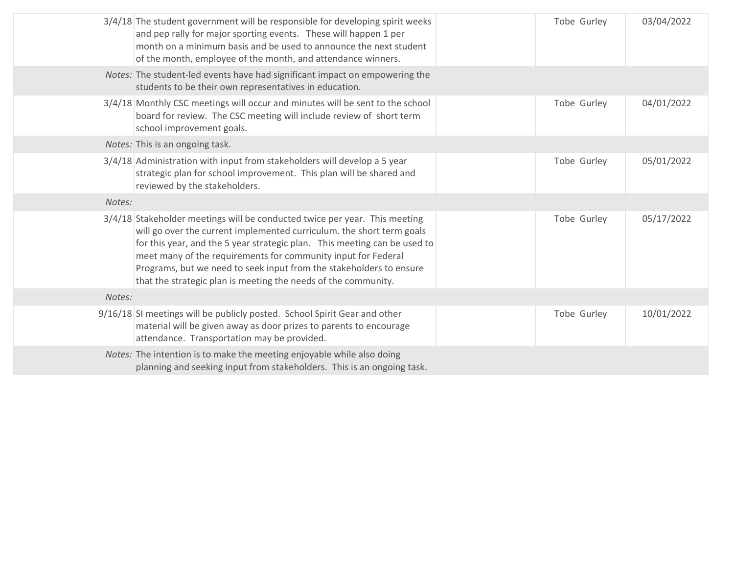|        | 3/4/18 The student government will be responsible for developing spirit weeks<br>and pep rally for major sporting events. These will happen 1 per<br>month on a minimum basis and be used to announce the next student<br>of the month, employee of the month, and attendance winners.                                                                                                                                                     | Tobe Gurley | 03/04/2022 |
|--------|--------------------------------------------------------------------------------------------------------------------------------------------------------------------------------------------------------------------------------------------------------------------------------------------------------------------------------------------------------------------------------------------------------------------------------------------|-------------|------------|
|        | Notes: The student-led events have had significant impact on empowering the<br>students to be their own representatives in education.                                                                                                                                                                                                                                                                                                      |             |            |
|        | 3/4/18 Monthly CSC meetings will occur and minutes will be sent to the school<br>board for review. The CSC meeting will include review of short term<br>school improvement goals.                                                                                                                                                                                                                                                          | Tobe Gurley | 04/01/2022 |
|        | Notes: This is an ongoing task.                                                                                                                                                                                                                                                                                                                                                                                                            |             |            |
|        | 3/4/18 Administration with input from stakeholders will develop a 5 year<br>strategic plan for school improvement. This plan will be shared and<br>reviewed by the stakeholders.                                                                                                                                                                                                                                                           | Tobe Gurley | 05/01/2022 |
| Notes: |                                                                                                                                                                                                                                                                                                                                                                                                                                            |             |            |
|        | 3/4/18 Stakeholder meetings will be conducted twice per year. This meeting<br>will go over the current implemented curriculum. the short term goals<br>for this year, and the 5 year strategic plan. This meeting can be used to<br>meet many of the requirements for community input for Federal<br>Programs, but we need to seek input from the stakeholders to ensure<br>that the strategic plan is meeting the needs of the community. | Tobe Gurley | 05/17/2022 |
| Notes: |                                                                                                                                                                                                                                                                                                                                                                                                                                            |             |            |
|        | 9/16/18 SI meetings will be publicly posted. School Spirit Gear and other<br>material will be given away as door prizes to parents to encourage<br>attendance. Transportation may be provided.                                                                                                                                                                                                                                             | Tobe Gurley | 10/01/2022 |
|        | Notes: The intention is to make the meeting enjoyable while also doing<br>planning and seeking input from stakeholders. This is an ongoing task.                                                                                                                                                                                                                                                                                           |             |            |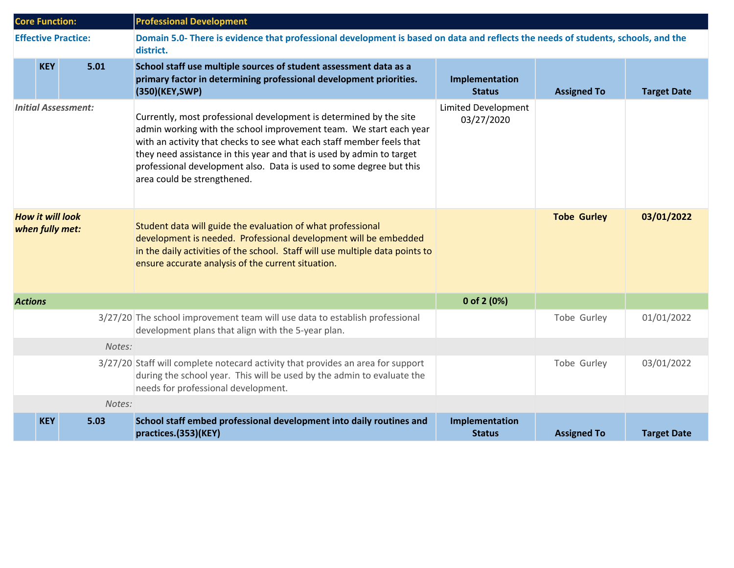| <b>Core Function:</b>                      |            |                            | <b>Professional Development</b>                                                                                                                                                                                                                                                                                                                                                                  |                                   |                    |                    |  |
|--------------------------------------------|------------|----------------------------|--------------------------------------------------------------------------------------------------------------------------------------------------------------------------------------------------------------------------------------------------------------------------------------------------------------------------------------------------------------------------------------------------|-----------------------------------|--------------------|--------------------|--|
|                                            |            | <b>Effective Practice:</b> | Domain 5.0- There is evidence that professional development is based on data and reflects the needs of students, schools, and the<br>district.                                                                                                                                                                                                                                                   |                                   |                    |                    |  |
|                                            | <b>KEY</b> | 5.01                       | School staff use multiple sources of student assessment data as a<br>primary factor in determining professional development priorities.<br>(350)(KEY, SWP)                                                                                                                                                                                                                                       | Implementation<br><b>Status</b>   | <b>Assigned To</b> | <b>Target Date</b> |  |
| <b>Initial Assessment:</b>                 |            |                            | Currently, most professional development is determined by the site<br>admin working with the school improvement team. We start each year<br>with an activity that checks to see what each staff member feels that<br>they need assistance in this year and that is used by admin to target<br>professional development also. Data is used to some degree but this<br>area could be strengthened. | Limited Development<br>03/27/2020 |                    |                    |  |
| <b>How it will look</b><br>when fully met: |            |                            | Student data will guide the evaluation of what professional<br>development is needed. Professional development will be embedded<br>in the daily activities of the school. Staff will use multiple data points to<br>ensure accurate analysis of the current situation.                                                                                                                           |                                   | <b>Tobe Gurley</b> | 03/01/2022         |  |
| <b>Actions</b>                             |            |                            |                                                                                                                                                                                                                                                                                                                                                                                                  | 0 of 2 $(0%)$                     |                    |                    |  |
|                                            |            |                            | 3/27/20 The school improvement team will use data to establish professional<br>development plans that align with the 5-year plan.                                                                                                                                                                                                                                                                |                                   | Tobe Gurley        | 01/01/2022         |  |
| Notes:                                     |            |                            |                                                                                                                                                                                                                                                                                                                                                                                                  |                                   |                    |                    |  |
|                                            |            |                            | 3/27/20 Staff will complete notecard activity that provides an area for support<br>during the school year. This will be used by the admin to evaluate the<br>needs for professional development.                                                                                                                                                                                                 |                                   | Tobe Gurley        | 03/01/2022         |  |
|                                            |            | Notes:                     |                                                                                                                                                                                                                                                                                                                                                                                                  |                                   |                    |                    |  |
|                                            | <b>KEY</b> | 5.03                       | School staff embed professional development into daily routines and<br>practices.(353)(KEY)                                                                                                                                                                                                                                                                                                      | Implementation<br><b>Status</b>   | <b>Assigned To</b> | <b>Target Date</b> |  |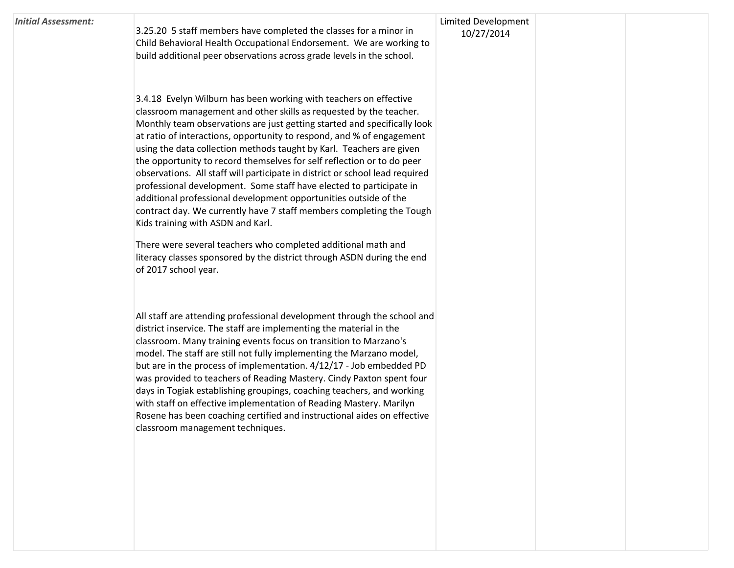| Initial Assessment: |  |
|---------------------|--|
|---------------------|--|

3.25.20 5 staff members have completed the classes for a minor in Child Behavioral Health Occupational Endorsement. We are working to build additional peer observations across grade levels in the school.

Limited Development 10/27/2014

3.4.18 Evelyn Wilburn has been working with teachers on effective classroom management and other skills as requested by the teacher. Monthly team observations are just getting started and specifically look at ratio of interactions, opportunity to respond, and % of engagement using the data collection methods taught by Karl. Teachers are given the opportunity to record themselves for self reflection or to do peer observations. All staff will participate in district or school lead required professional development. Some staff have elected to participate in additional professional development opportunities outside of the contract day. We currently have 7 staff members completing the Tough Kids training with ASDN and Karl.

There were several teachers who completed additional math and literacy classes sponsored by the district through ASDN during the end of 2017 school year.

All staff are attending professional development through the school and district inservice. The staff are implementing the material in the classroom. Many training events focus on transition to Marzano's model. The staff are still not fully implementing the Marzano model, but are in the process of implementation. 4/12/17 - Job embedded PD was provided to teachers of Reading Mastery. Cindy Paxton spent four days in Togiak establishing groupings, coaching teachers, and working with staff on effective implementation of Reading Mastery. Marilyn Rosene has been coaching certified and instructional aides on effective classroom management techniques.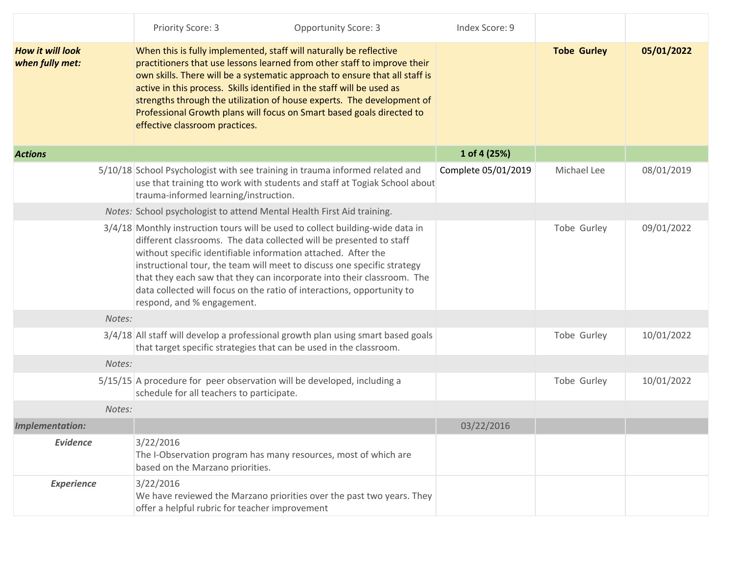|                                            | <b>Opportunity Score: 3</b><br>Priority Score: 3                                                                                                                                                                                                                                                                                                                                                                                                                                             | Index Score: 9      |                    |            |
|--------------------------------------------|----------------------------------------------------------------------------------------------------------------------------------------------------------------------------------------------------------------------------------------------------------------------------------------------------------------------------------------------------------------------------------------------------------------------------------------------------------------------------------------------|---------------------|--------------------|------------|
| <b>How it will look</b><br>when fully met: | When this is fully implemented, staff will naturally be reflective<br>practitioners that use lessons learned from other staff to improve their<br>own skills. There will be a systematic approach to ensure that all staff is<br>active in this process. Skills identified in the staff will be used as<br>strengths through the utilization of house experts. The development of<br>Professional Growth plans will focus on Smart based goals directed to<br>effective classroom practices. |                     | <b>Tobe Gurley</b> | 05/01/2022 |
| <b>Actions</b>                             |                                                                                                                                                                                                                                                                                                                                                                                                                                                                                              | 1 of 4 (25%)        |                    |            |
|                                            | 5/10/18 School Psychologist with see training in trauma informed related and<br>use that training tto work with students and staff at Togiak School about<br>trauma-informed learning/instruction.                                                                                                                                                                                                                                                                                           | Complete 05/01/2019 | Michael Lee        | 08/01/2019 |
|                                            | Notes: School psychologist to attend Mental Health First Aid training.                                                                                                                                                                                                                                                                                                                                                                                                                       |                     |                    |            |
|                                            | 3/4/18 Monthly instruction tours will be used to collect building-wide data in<br>different classrooms. The data collected will be presented to staff<br>without specific identifiable information attached. After the<br>instructional tour, the team will meet to discuss one specific strategy<br>that they each saw that they can incorporate into their classroom. The<br>data collected will focus on the ratio of interactions, opportunity to<br>respond, and % engagement.          |                     | Tobe Gurley        | 09/01/2022 |
| Notes:                                     |                                                                                                                                                                                                                                                                                                                                                                                                                                                                                              |                     |                    |            |
|                                            | 3/4/18 All staff will develop a professional growth plan using smart based goals<br>that target specific strategies that can be used in the classroom.                                                                                                                                                                                                                                                                                                                                       |                     | Tobe Gurley        | 10/01/2022 |
| Notes:                                     |                                                                                                                                                                                                                                                                                                                                                                                                                                                                                              |                     |                    |            |
|                                            | $5/15/15$ A procedure for peer observation will be developed, including a<br>schedule for all teachers to participate.                                                                                                                                                                                                                                                                                                                                                                       |                     | Tobe Gurley        | 10/01/2022 |
| Notes:                                     |                                                                                                                                                                                                                                                                                                                                                                                                                                                                                              |                     |                    |            |
| <b>Implementation:</b>                     |                                                                                                                                                                                                                                                                                                                                                                                                                                                                                              | 03/22/2016          |                    |            |
| <b>Evidence</b>                            | 3/22/2016<br>The I-Observation program has many resources, most of which are<br>based on the Marzano priorities.                                                                                                                                                                                                                                                                                                                                                                             |                     |                    |            |
| <b>Experience</b>                          | 3/22/2016<br>We have reviewed the Marzano priorities over the past two years. They<br>offer a helpful rubric for teacher improvement                                                                                                                                                                                                                                                                                                                                                         |                     |                    |            |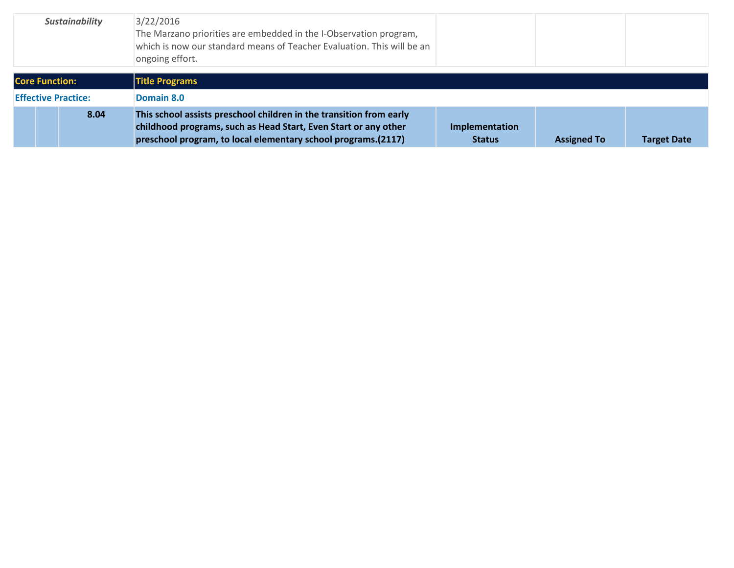| <b>Sustainability</b>      |      | 3/22/2016<br>The Marzano priorities are embedded in the I-Observation program,<br>which is now our standard means of Teacher Evaluation. This will be an<br>ongoing effort.                             |                                 |                    |                    |
|----------------------------|------|---------------------------------------------------------------------------------------------------------------------------------------------------------------------------------------------------------|---------------------------------|--------------------|--------------------|
| <b>Core Function:</b>      |      | <b>Title Programs</b>                                                                                                                                                                                   |                                 |                    |                    |
| <b>Effective Practice:</b> |      | Domain 8.0                                                                                                                                                                                              |                                 |                    |                    |
|                            | 8.04 | This school assists preschool children in the transition from early<br>childhood programs, such as Head Start, Even Start or any other<br>preschool program, to local elementary school programs.(2117) | Implementation<br><b>Status</b> | <b>Assigned To</b> | <b>Target Date</b> |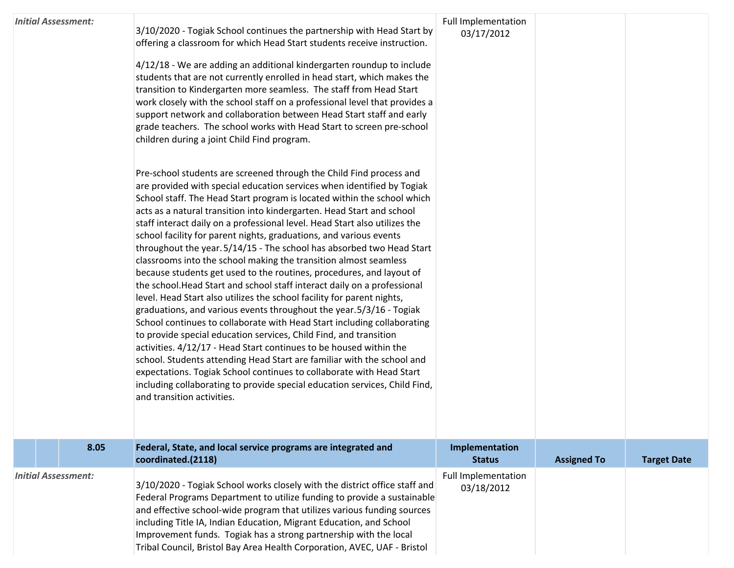|                            |  | <b>Initial Assessment:</b> | 3/10/2020 - Togiak School continues the partnership with Head Start by<br>offering a classroom for which Head Start students receive instruction.<br>4/12/18 - We are adding an additional kindergarten roundup to include<br>students that are not currently enrolled in head start, which makes the<br>transition to Kindergarten more seamless. The staff from Head Start<br>work closely with the school staff on a professional level that provides a<br>support network and collaboration between Head Start staff and early<br>grade teachers. The school works with Head Start to screen pre-school<br>children during a joint Child Find program.<br>Pre-school students are screened through the Child Find process and<br>are provided with special education services when identified by Togiak<br>School staff. The Head Start program is located within the school which<br>acts as a natural transition into kindergarten. Head Start and school<br>staff interact daily on a professional level. Head Start also utilizes the<br>school facility for parent nights, graduations, and various events<br>throughout the year. 5/14/15 - The school has absorbed two Head Start<br>classrooms into the school making the transition almost seamless<br>because students get used to the routines, procedures, and layout of<br>the school. Head Start and school staff interact daily on a professional<br>level. Head Start also utilizes the school facility for parent nights,<br>graduations, and various events throughout the year.5/3/16 - Togiak<br>School continues to collaborate with Head Start including collaborating<br>to provide special education services, Child Find, and transition<br>activities. 4/12/17 - Head Start continues to be housed within the<br>school. Students attending Head Start are familiar with the school and<br>expectations. Togiak School continues to collaborate with Head Start<br>including collaborating to provide special education services, Child Find,<br>and transition activities. | <b>Full Implementation</b><br>03/17/2012 |                    |                    |
|----------------------------|--|----------------------------|-----------------------------------------------------------------------------------------------------------------------------------------------------------------------------------------------------------------------------------------------------------------------------------------------------------------------------------------------------------------------------------------------------------------------------------------------------------------------------------------------------------------------------------------------------------------------------------------------------------------------------------------------------------------------------------------------------------------------------------------------------------------------------------------------------------------------------------------------------------------------------------------------------------------------------------------------------------------------------------------------------------------------------------------------------------------------------------------------------------------------------------------------------------------------------------------------------------------------------------------------------------------------------------------------------------------------------------------------------------------------------------------------------------------------------------------------------------------------------------------------------------------------------------------------------------------------------------------------------------------------------------------------------------------------------------------------------------------------------------------------------------------------------------------------------------------------------------------------------------------------------------------------------------------------------------------------------------------------------------------------------------------------------------------------------------|------------------------------------------|--------------------|--------------------|
|                            |  | 8.05                       | Federal, State, and local service programs are integrated and<br>coordinated.(2118)                                                                                                                                                                                                                                                                                                                                                                                                                                                                                                                                                                                                                                                                                                                                                                                                                                                                                                                                                                                                                                                                                                                                                                                                                                                                                                                                                                                                                                                                                                                                                                                                                                                                                                                                                                                                                                                                                                                                                                       | Implementation<br><b>Status</b>          | <b>Assigned To</b> | <b>Target Date</b> |
| <b>Initial Assessment:</b> |  |                            | 3/10/2020 - Togiak School works closely with the district office staff and<br>Federal Programs Department to utilize funding to provide a sustainable<br>and effective school-wide program that utilizes various funding sources<br>including Title IA, Indian Education, Migrant Education, and School<br>Improvement funds. Togiak has a strong partnership with the local<br>Tribal Council, Bristol Bay Area Health Corporation, AVEC, UAF - Bristol                                                                                                                                                                                                                                                                                                                                                                                                                                                                                                                                                                                                                                                                                                                                                                                                                                                                                                                                                                                                                                                                                                                                                                                                                                                                                                                                                                                                                                                                                                                                                                                                  | <b>Full Implementation</b><br>03/18/2012 |                    |                    |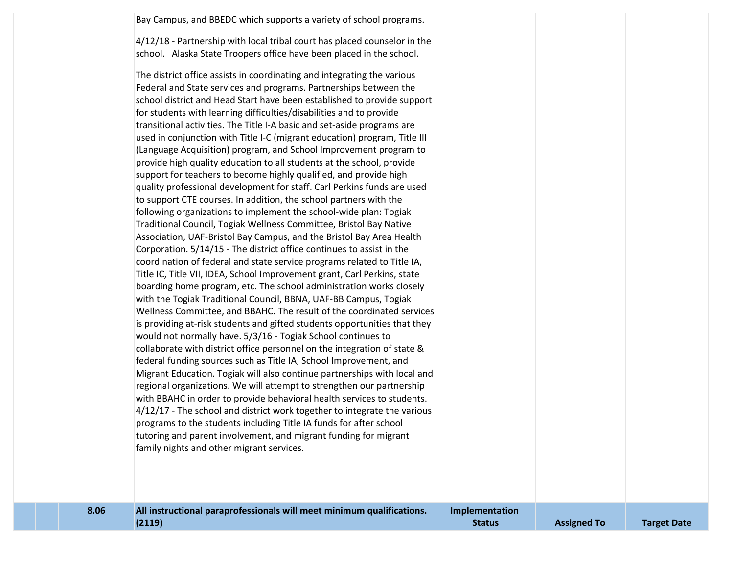Bay Campus, and BBEDC which supports a variety of school programs.

4/12/18 - Partnership with local tribal court has placed counselor in the school. Alaska State Troopers office have been placed in the school.

The district office assists in coordinating and integrating the various Federal and State services and programs. Partnerships between the school district and Head Start have been established to provide support for students with learning difficulties/disabilities and to provide transitional activities. The Title I-A basic and set-aside programs are used in conjunction with Title I-C (migrant education) program, Title III (Language Acquisition) program, and School Improvement program to provide high quality education to all students at the school, provide support for teachers to become highly qualified, and provide high quality professional development for staff. Carl Perkins funds are used to support CTE courses. In addition, the school partners with the following organizations to implement the school-wide plan: Togiak Traditional Council, Togiak Wellness Committee, Bristol Bay Native Association, UAF-Bristol Bay Campus, and the Bristol Bay Area Health Corporation. 5/14/15 - The district office continues to assist in the coordination of federal and state service programs related to Title IA, Title IC, Title VII, IDEA, School Improvement grant, Carl Perkins, state boarding home program, etc. The school administration works closely with the Togiak Traditional Council, BBNA, UAF-BB Campus, Togiak Wellness Committee, and BBAHC. The result of the coordinated services is providing at-risk students and gifted students opportunities that they would not normally have. 5/3/16 - Togiak School continues to collaborate with district office personnel on the integration of state & federal funding sources such as Title IA, School Improvement, and Migrant Education. Togiak will also continue partnerships with local and regional organizations. We will attempt to strengthen our partnership with BBAHC in order to provide behavioral health services to students. 4/12/17 - The school and district work together to integrate the various programs to the students including Title IA funds for after school tutoring and parent involvement, and migrant funding for migrant family nights and other migrant services.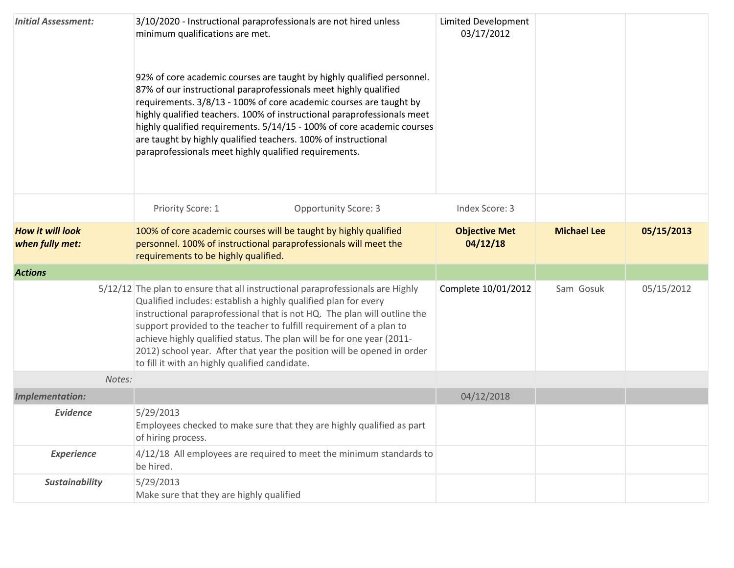| <b>Initial Assessment:</b>                 | 3/10/2020 - Instructional paraprofessionals are not hired unless<br>minimum qualifications are met.<br>92% of core academic courses are taught by highly qualified personnel.<br>87% of our instructional paraprofessionals meet highly qualified<br>requirements. 3/8/13 - 100% of core academic courses are taught by<br>highly qualified teachers. 100% of instructional paraprofessionals meet<br>highly qualified requirements. 5/14/15 - 100% of core academic courses<br>are taught by highly qualified teachers. 100% of instructional<br>paraprofessionals meet highly qualified requirements. | Limited Development<br>03/17/2012 |                    |            |
|--------------------------------------------|---------------------------------------------------------------------------------------------------------------------------------------------------------------------------------------------------------------------------------------------------------------------------------------------------------------------------------------------------------------------------------------------------------------------------------------------------------------------------------------------------------------------------------------------------------------------------------------------------------|-----------------------------------|--------------------|------------|
|                                            | Priority Score: 1<br><b>Opportunity Score: 3</b>                                                                                                                                                                                                                                                                                                                                                                                                                                                                                                                                                        | Index Score: 3                    |                    |            |
| <b>How it will look</b><br>when fully met: | 100% of core academic courses will be taught by highly qualified<br>personnel. 100% of instructional paraprofessionals will meet the<br>requirements to be highly qualified.                                                                                                                                                                                                                                                                                                                                                                                                                            | <b>Objective Met</b><br>04/12/18  | <b>Michael Lee</b> | 05/15/2013 |
| <b>Actions</b>                             |                                                                                                                                                                                                                                                                                                                                                                                                                                                                                                                                                                                                         |                                   |                    |            |
|                                            | 5/12/12 The plan to ensure that all instructional paraprofessionals are Highly<br>Qualified includes: establish a highly qualified plan for every<br>instructional paraprofessional that is not HQ. The plan will outline the<br>support provided to the teacher to fulfill requirement of a plan to<br>achieve highly qualified status. The plan will be for one year (2011-<br>2012) school year. After that year the position will be opened in order<br>to fill it with an highly qualified candidate.                                                                                              | Complete 10/01/2012               | Sam Gosuk          | 05/15/2012 |
| Notes:                                     |                                                                                                                                                                                                                                                                                                                                                                                                                                                                                                                                                                                                         |                                   |                    |            |
| <b>Implementation:</b>                     |                                                                                                                                                                                                                                                                                                                                                                                                                                                                                                                                                                                                         | 04/12/2018                        |                    |            |
| <b>Evidence</b>                            | 5/29/2013<br>Employees checked to make sure that they are highly qualified as part<br>of hiring process.                                                                                                                                                                                                                                                                                                                                                                                                                                                                                                |                                   |                    |            |
| <b>Experience</b>                          | 4/12/18 All employees are required to meet the minimum standards to<br>be hired.                                                                                                                                                                                                                                                                                                                                                                                                                                                                                                                        |                                   |                    |            |
| <b>Sustainability</b>                      | 5/29/2013<br>Make sure that they are highly qualified                                                                                                                                                                                                                                                                                                                                                                                                                                                                                                                                                   |                                   |                    |            |